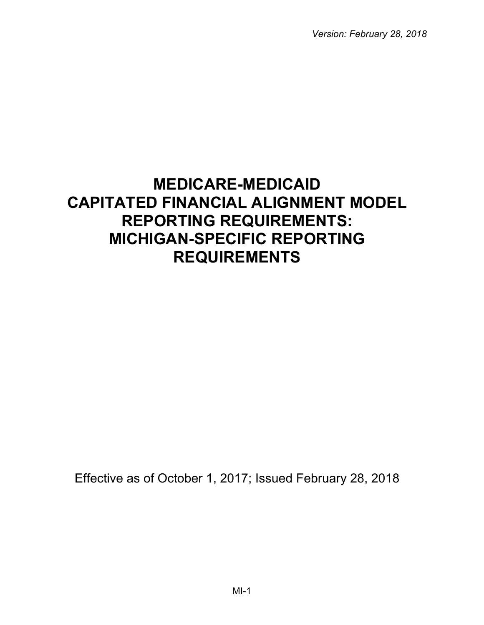*Version: February 28, 2018*

# **MEDICARE-MEDICAID CAPITATED FINANCIAL ALIGNMENT MODEL REPORTING REQUIREMENTS: MICHIGAN-SPECIFIC REPORTING REQUIREMENTS**

Effective as of October 1, 2017; Issued February 28, 2018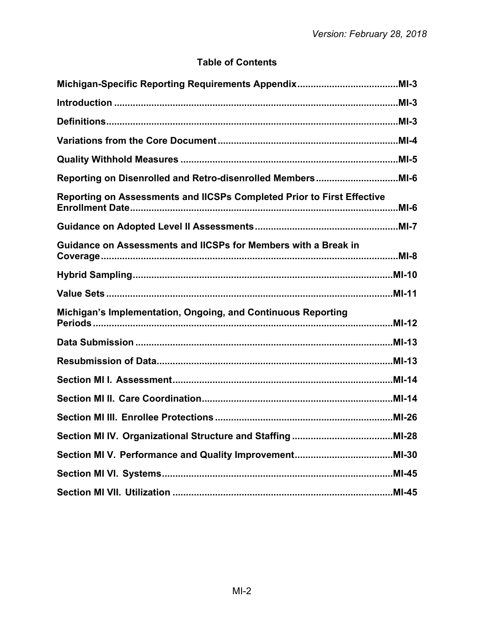# **Table of Contents**

| Reporting on Assessments and IICSPs Completed Prior to First Effective |        |
|------------------------------------------------------------------------|--------|
|                                                                        |        |
| Guidance on Assessments and IICSPs for Members with a Break in         |        |
|                                                                        |        |
|                                                                        |        |
| Michigan's Implementation, Ongoing, and Continuous Reporting           |        |
|                                                                        |        |
|                                                                        |        |
|                                                                        |        |
|                                                                        |        |
|                                                                        |        |
|                                                                        |        |
|                                                                        |        |
|                                                                        |        |
|                                                                        | .MI-45 |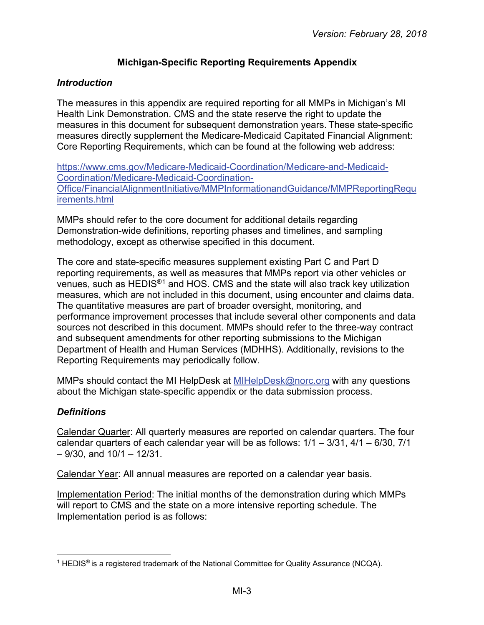# **Michigan-Specific Reporting Requirements Appendix**

## <span id="page-2-1"></span><span id="page-2-0"></span>*Introduction*

The measures in this appendix are required reporting for all MMPs in Michigan's MI Health Link Demonstration. CMS and the state reserve the right to update the measures in this document for subsequent demonstration years. These state-specific measures directly supplement the Medicare-Medicaid Capitated Financial Alignment: Core Reporting Requirements, which can be found at the following web address:

[https://www.cms.gov/Medicare-Medicaid-Coordination/Medicare-and-Medicaid-](https://www.cms.gov/Medicare-Medicaid-Coordination/Medicare-and-Medicaid-Coordination/Medicare-Medicaid-Coordination-Office/FinancialAlignmentInitiative/MMPInformationandGuidance/MMPReportingRequirements.html)[Coordination/Medicare-Medicaid-Coordination-](https://www.cms.gov/Medicare-Medicaid-Coordination/Medicare-and-Medicaid-Coordination/Medicare-Medicaid-Coordination-Office/FinancialAlignmentInitiative/MMPInformationandGuidance/MMPReportingRequirements.html)[Office/FinancialAlignmentInitiative/MMPInformationandGuidance/MMPReportingRequ](https://www.cms.gov/Medicare-Medicaid-Coordination/Medicare-and-Medicaid-Coordination/Medicare-Medicaid-Coordination-Office/FinancialAlignmentInitiative/MMPInformationandGuidance/MMPReportingRequirements.html) [irements.html](https://www.cms.gov/Medicare-Medicaid-Coordination/Medicare-and-Medicaid-Coordination/Medicare-Medicaid-Coordination-Office/FinancialAlignmentInitiative/MMPInformationandGuidance/MMPReportingRequirements.html)

MMPs should refer to the core document for additional details regarding Demonstration-wide definitions, reporting phases and timelines, and sampling methodology, except as otherwise specified in this document.

The core and state-specific measures supplement existing Part C and Part D reporting requirements, as well as measures that MMPs report via other vehicles or venues, such as HEDIS®[1](#page-2-3) and HOS. CMS and the state will also track key utilization measures, which are not included in this document, using encounter and claims data. The quantitative measures are part of broader oversight, monitoring, and performance improvement processes that include several other components and data sources not described in this document. MMPs should refer to the three-way contract and subsequent amendments for other reporting submissions to the Michigan Department of Health and Human Services (MDHHS). Additionally, revisions to the Reporting Requirements may periodically follow.

MMPs should contact the MI HelpDesk at [MIHelpDesk@norc.org](mailto:MIHelpDesk@norc.org) with any questions about the Michigan state-specific appendix or the data submission process.

# <span id="page-2-2"></span>*Definitions*

Calendar Quarter: All quarterly measures are reported on calendar quarters. The four calendar quarters of each calendar year will be as follows:  $1/1 - 3/31$ ,  $4/1 - 6/30$ ,  $7/1$  $-9/30$ , and  $10/1 - 12/31$ .

Calendar Year: All annual measures are reported on a calendar year basis.

Implementation Period: The initial months of the demonstration during which MMPs will report to CMS and the state on a more intensive reporting schedule. The Implementation period is as follows:

<span id="page-2-3"></span> $\overline{a}$ <sup>1</sup> HEDIS<sup>®</sup> is a registered trademark of the National Committee for Quality Assurance (NCQA).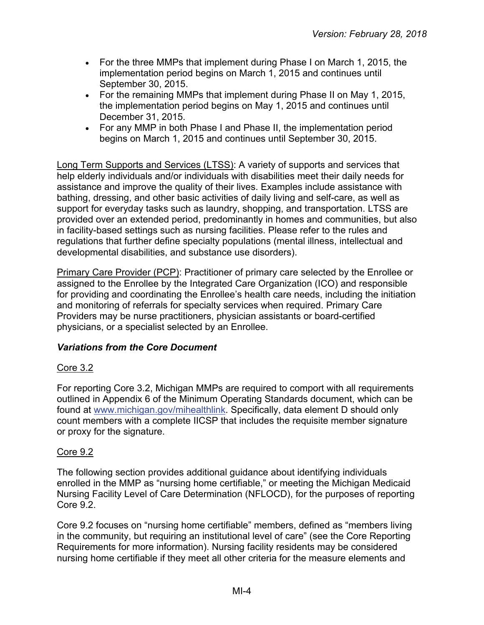- For the three MMPs that implement during Phase I on March 1, 2015, the implementation period begins on March 1, 2015 and continues until September 30, 2015.
- For the remaining MMPs that implement during Phase II on May 1, 2015, the implementation period begins on May 1, 2015 and continues until December 31, 2015.
- For any MMP in both Phase I and Phase II, the implementation period begins on March 1, 2015 and continues until September 30, 2015.

Long Term Supports and Services (LTSS): A variety of supports and services that help elderly individuals and/or individuals with disabilities meet their daily needs for assistance and improve the quality of their lives. Examples include assistance with bathing, dressing, and other basic activities of daily living and self-care, as well as support for everyday tasks such as laundry, shopping, and transportation. LTSS are provided over an extended period, predominantly in homes and communities, but also in facility-based settings such as nursing facilities. Please refer to the rules and regulations that further define specialty populations (mental illness, intellectual and developmental disabilities, and substance use disorders).

Primary Care Provider (PCP): Practitioner of primary care selected by the Enrollee or assigned to the Enrollee by the Integrated Care Organization (ICO) and responsible for providing and coordinating the Enrollee's health care needs, including the initiation and monitoring of referrals for specialty services when required. Primary Care Providers may be nurse practitioners, physician assistants or board-certified physicians, or a specialist selected by an Enrollee.

# <span id="page-3-0"></span>*Variations from the Core Document*

# Core 3.2

For reporting Core 3.2, Michigan MMPs are required to comport with all requirements outlined in Appendix 6 of the Minimum Operating Standards document, which can be found at [www.michigan.gov/mihealthlink.](http://www.michigan.gov/mihealthlink) Specifically, data element D should only count members with a complete IICSP that includes the requisite member signature or proxy for the signature.

## Core 9.2

The following section provides additional guidance about identifying individuals enrolled in the MMP as "nursing home certifiable," or meeting the Michigan Medicaid Nursing Facility Level of Care Determination (NFLOCD), for the purposes of reporting Core 9.2.

Core 9.2 focuses on "nursing home certifiable" members, defined as "members living in the community, but requiring an institutional level of care" (see the Core Reporting Requirements for more information). Nursing facility residents may be considered nursing home certifiable if they meet all other criteria for the measure elements and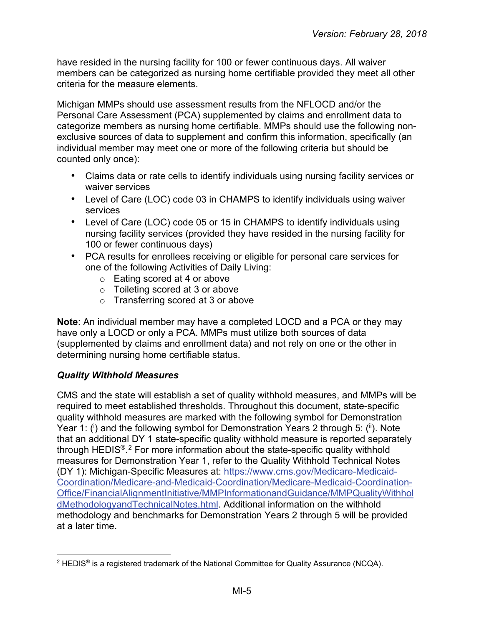have resided in the nursing facility for 100 or fewer continuous days. All waiver members can be categorized as nursing home certifiable provided they meet all other criteria for the measure elements.

Michigan MMPs should use assessment results from the NFLOCD and/or the Personal Care Assessment (PCA) supplemented by claims and enrollment data to categorize members as nursing home certifiable. MMPs should use the following nonexclusive sources of data to supplement and confirm this information, specifically (an individual member may meet one or more of the following criteria but should be counted only once):

- Claims data or rate cells to identify individuals using nursing facility services or waiver services
- Level of Care (LOC) code 03 in CHAMPS to identify individuals using waiver services
- Level of Care (LOC) code 05 or 15 in CHAMPS to identify individuals using nursing facility services (provided they have resided in the nursing facility for 100 or fewer continuous days)
- PCA results for enrollees receiving or eligible for personal care services for one of the following Activities of Daily Living:
	- o Eating scored at 4 or above
	- o Toileting scored at 3 or above
	- o Transferring scored at 3 or above

**Note**: An individual member may have a completed LOCD and a PCA or they may have only a LOCD or only a PCA. MMPs must utilize both sources of data (supplemented by claims and enrollment data) and not rely on one or the other in determining nursing home certifiable status.

# <span id="page-4-0"></span>*Quality Withhold Measures*

CMS and the state will establish a set of quality withhold measures, and MMPs will be required to meet established thresholds. Throughout this document, state-specific quality withhold measures are marked with the following symbol for Demonstration Year 1: (i) and the following symbol for Demonstration Years 2 through 5: (ii). Note that an additional DY 1 state-specific quality withhold measure is reported separately through HEDIS®. [2](#page-4-1) For more information about the state-specific quality withhold measures for Demonstration Year 1, refer to the Quality Withhold Technical Notes (DY 1): Michigan-Specific Measures at: [https://www.cms.gov/Medicare-Medicaid-](https://www.cms.gov/Medicare-Medicaid-Coordination/Medicare-and-Medicaid-Coordination/Medicare-Medicaid-Coordination-Office/FinancialAlignmentInitiative/MMPInformationandGuidance/MMPQualityWithholdMethodologyandTechnicalNotes.html)[Coordination/Medicare-and-Medicaid-Coordination/Medicare-Medicaid-Coordination-](https://www.cms.gov/Medicare-Medicaid-Coordination/Medicare-and-Medicaid-Coordination/Medicare-Medicaid-Coordination-Office/FinancialAlignmentInitiative/MMPInformationandGuidance/MMPQualityWithholdMethodologyandTechnicalNotes.html)[Office/FinancialAlignmentInitiative/MMPInformationandGuidance/MMPQualityWithhol](https://www.cms.gov/Medicare-Medicaid-Coordination/Medicare-and-Medicaid-Coordination/Medicare-Medicaid-Coordination-Office/FinancialAlignmentInitiative/MMPInformationandGuidance/MMPQualityWithholdMethodologyandTechnicalNotes.html) [dMethodologyandTechnicalNotes.html.](https://www.cms.gov/Medicare-Medicaid-Coordination/Medicare-and-Medicaid-Coordination/Medicare-Medicaid-Coordination-Office/FinancialAlignmentInitiative/MMPInformationandGuidance/MMPQualityWithholdMethodologyandTechnicalNotes.html) Additional information on the withhold methodology and benchmarks for Demonstration Years 2 through 5 will be provided at a later time.

<span id="page-4-1"></span><sup>&</sup>lt;sup>2</sup> HEDIS<sup>®</sup> is a registered trademark of the National Committee for Quality Assurance (NCQA).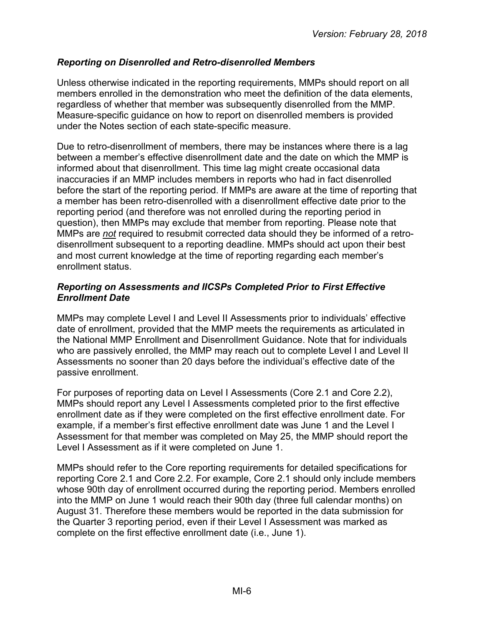# <span id="page-5-0"></span>*Reporting on Disenrolled and Retro-disenrolled Members*

Unless otherwise indicated in the reporting requirements, MMPs should report on all members enrolled in the demonstration who meet the definition of the data elements, regardless of whether that member was subsequently disenrolled from the MMP. Measure-specific guidance on how to report on disenrolled members is provided under the Notes section of each state-specific measure.

Due to retro-disenrollment of members, there may be instances where there is a lag between a member's effective disenrollment date and the date on which the MMP is informed about that disenrollment. This time lag might create occasional data inaccuracies if an MMP includes members in reports who had in fact disenrolled before the start of the reporting period. If MMPs are aware at the time of reporting that a member has been retro-disenrolled with a disenrollment effective date prior to the reporting period (and therefore was not enrolled during the reporting period in question), then MMPs may exclude that member from reporting. Please note that MMPs are *not* required to resubmit corrected data should they be informed of a retrodisenrollment subsequent to a reporting deadline. MMPs should act upon their best and most current knowledge at the time of reporting regarding each member's enrollment status.

#### <span id="page-5-1"></span>*Reporting on Assessments and IICSPs Completed Prior to First Effective Enrollment Date*

MMPs may complete Level I and Level II Assessments prior to individuals' effective date of enrollment, provided that the MMP meets the requirements as articulated in the National MMP Enrollment and Disenrollment Guidance. Note that for individuals who are passively enrolled, the MMP may reach out to complete Level I and Level II Assessments no sooner than 20 days before the individual's effective date of the passive enrollment.

For purposes of reporting data on Level I Assessments (Core 2.1 and Core 2.2), MMPs should report any Level I Assessments completed prior to the first effective enrollment date as if they were completed on the first effective enrollment date. For example, if a member's first effective enrollment date was June 1 and the Level I Assessment for that member was completed on May 25, the MMP should report the Level I Assessment as if it were completed on June 1.

MMPs should refer to the Core reporting requirements for detailed specifications for reporting Core 2.1 and Core 2.2. For example, Core 2.1 should only include members whose 90th day of enrollment occurred during the reporting period. Members enrolled into the MMP on June 1 would reach their 90th day (three full calendar months) on August 31. Therefore these members would be reported in the data submission for the Quarter 3 reporting period, even if their Level I Assessment was marked as complete on the first effective enrollment date (i.e., June 1).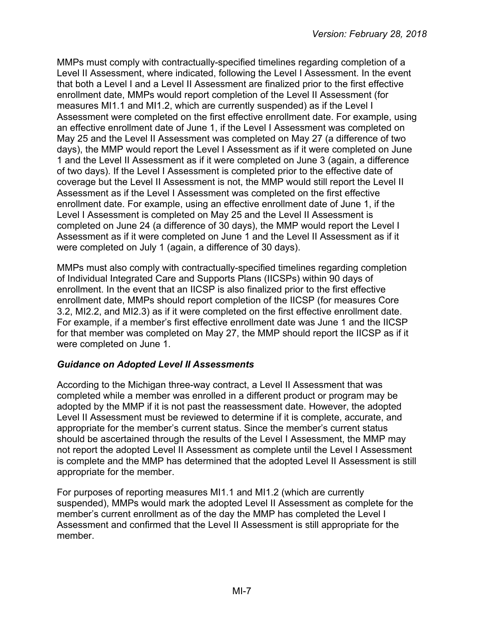MMPs must comply with contractually-specified timelines regarding completion of a Level II Assessment, where indicated, following the Level I Assessment. In the event that both a Level I and a Level II Assessment are finalized prior to the first effective enrollment date, MMPs would report completion of the Level II Assessment (for measures MI1.1 and MI1.2, which are currently suspended) as if the Level I Assessment were completed on the first effective enrollment date. For example, using an effective enrollment date of June 1, if the Level I Assessment was completed on May 25 and the Level II Assessment was completed on May 27 (a difference of two days), the MMP would report the Level I Assessment as if it were completed on June 1 and the Level II Assessment as if it were completed on June 3 (again, a difference of two days). If the Level I Assessment is completed prior to the effective date of coverage but the Level II Assessment is not, the MMP would still report the Level II Assessment as if the Level I Assessment was completed on the first effective enrollment date. For example, using an effective enrollment date of June 1, if the Level I Assessment is completed on May 25 and the Level II Assessment is completed on June 24 (a difference of 30 days), the MMP would report the Level I Assessment as if it were completed on June 1 and the Level II Assessment as if it were completed on July 1 (again, a difference of 30 days).

MMPs must also comply with contractually-specified timelines regarding completion of Individual Integrated Care and Supports Plans (IICSPs) within 90 days of enrollment. In the event that an IICSP is also finalized prior to the first effective enrollment date, MMPs should report completion of the IICSP (for measures Core 3.2, MI2.2, and MI2.3) as if it were completed on the first effective enrollment date. For example, if a member's first effective enrollment date was June 1 and the IICSP for that member was completed on May 27, the MMP should report the IICSP as if it were completed on June 1.

# <span id="page-6-0"></span>*Guidance on Adopted Level II Assessments*

According to the Michigan three-way contract, a Level II Assessment that was completed while a member was enrolled in a different product or program may be adopted by the MMP if it is not past the reassessment date. However, the adopted Level II Assessment must be reviewed to determine if it is complete, accurate, and appropriate for the member's current status. Since the member's current status should be ascertained through the results of the Level I Assessment, the MMP may not report the adopted Level II Assessment as complete until the Level I Assessment is complete and the MMP has determined that the adopted Level II Assessment is still appropriate for the member.

For purposes of reporting measures MI1.1 and MI1.2 (which are currently suspended), MMPs would mark the adopted Level II Assessment as complete for the member's current enrollment as of the day the MMP has completed the Level I Assessment and confirmed that the Level II Assessment is still appropriate for the member.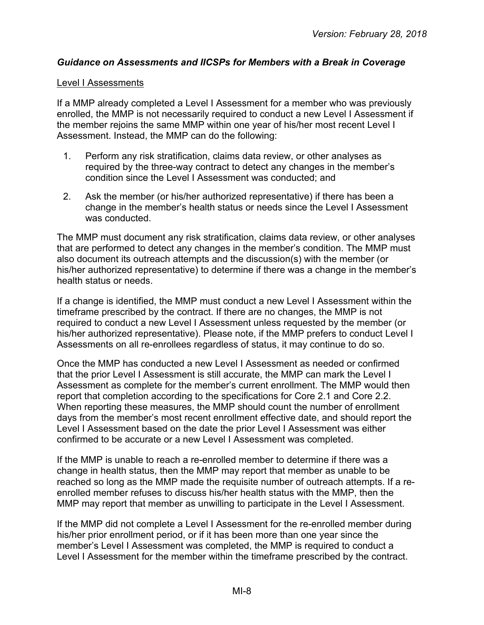#### <span id="page-7-0"></span>*Guidance on Assessments and IICSPs for Members with a Break in Coverage*

#### Level I Assessments

If a MMP already completed a Level I Assessment for a member who was previously enrolled, the MMP is not necessarily required to conduct a new Level I Assessment if the member rejoins the same MMP within one year of his/her most recent Level I Assessment. Instead, the MMP can do the following:

- 1. Perform any risk stratification, claims data review, or other analyses as required by the three-way contract to detect any changes in the member's condition since the Level I Assessment was conducted; and
- 2. Ask the member (or his/her authorized representative) if there has been a change in the member's health status or needs since the Level I Assessment was conducted.

The MMP must document any risk stratification, claims data review, or other analyses that are performed to detect any changes in the member's condition. The MMP must also document its outreach attempts and the discussion(s) with the member (or his/her authorized representative) to determine if there was a change in the member's health status or needs.

If a change is identified, the MMP must conduct a new Level I Assessment within the timeframe prescribed by the contract. If there are no changes, the MMP is not required to conduct a new Level I Assessment unless requested by the member (or his/her authorized representative). Please note, if the MMP prefers to conduct Level I Assessments on all re-enrollees regardless of status, it may continue to do so.

Once the MMP has conducted a new Level I Assessment as needed or confirmed that the prior Level I Assessment is still accurate, the MMP can mark the Level I Assessment as complete for the member's current enrollment. The MMP would then report that completion according to the specifications for Core 2.1 and Core 2.2. When reporting these measures, the MMP should count the number of enrollment days from the member's most recent enrollment effective date, and should report the Level I Assessment based on the date the prior Level I Assessment was either confirmed to be accurate or a new Level I Assessment was completed.

If the MMP is unable to reach a re-enrolled member to determine if there was a change in health status, then the MMP may report that member as unable to be reached so long as the MMP made the requisite number of outreach attempts. If a reenrolled member refuses to discuss his/her health status with the MMP, then the MMP may report that member as unwilling to participate in the Level I Assessment.

If the MMP did not complete a Level I Assessment for the re-enrolled member during his/her prior enrollment period, or if it has been more than one year since the member's Level I Assessment was completed, the MMP is required to conduct a Level I Assessment for the member within the timeframe prescribed by the contract.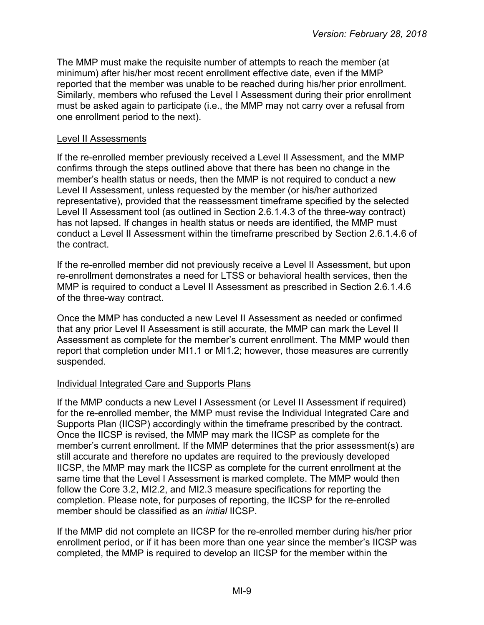The MMP must make the requisite number of attempts to reach the member (at minimum) after his/her most recent enrollment effective date, even if the MMP reported that the member was unable to be reached during his/her prior enrollment. Similarly, members who refused the Level I Assessment during their prior enrollment must be asked again to participate (i.e., the MMP may not carry over a refusal from one enrollment period to the next).

#### Level II Assessments

If the re-enrolled member previously received a Level II Assessment, and the MMP confirms through the steps outlined above that there has been no change in the member's health status or needs, then the MMP is not required to conduct a new Level II Assessment, unless requested by the member (or his/her authorized representative), provided that the reassessment timeframe specified by the selected Level II Assessment tool (as outlined in Section 2.6.1.4.3 of the three-way contract) has not lapsed. If changes in health status or needs are identified, the MMP must conduct a Level II Assessment within the timeframe prescribed by Section 2.6.1.4.6 of the contract.

If the re-enrolled member did not previously receive a Level II Assessment, but upon re-enrollment demonstrates a need for LTSS or behavioral health services, then the MMP is required to conduct a Level II Assessment as prescribed in Section 2.6.1.4.6 of the three-way contract.

Once the MMP has conducted a new Level II Assessment as needed or confirmed that any prior Level II Assessment is still accurate, the MMP can mark the Level II Assessment as complete for the member's current enrollment. The MMP would then report that completion under MI1.1 or MI1.2; however, those measures are currently suspended.

## Individual Integrated Care and Supports Plans

If the MMP conducts a new Level I Assessment (or Level II Assessment if required) for the re-enrolled member, the MMP must revise the Individual Integrated Care and Supports Plan (IICSP) accordingly within the timeframe prescribed by the contract. Once the IICSP is revised, the MMP may mark the IICSP as complete for the member's current enrollment. If the MMP determines that the prior assessment(s) are still accurate and therefore no updates are required to the previously developed IICSP, the MMP may mark the IICSP as complete for the current enrollment at the same time that the Level I Assessment is marked complete. The MMP would then follow the Core 3.2, MI2.2, and MI2.3 measure specifications for reporting the completion. Please note, for purposes of reporting, the IICSP for the re-enrolled member should be classified as an *initial* IICSP.

If the MMP did not complete an IICSP for the re-enrolled member during his/her prior enrollment period, or if it has been more than one year since the member's IICSP was completed, the MMP is required to develop an IICSP for the member within the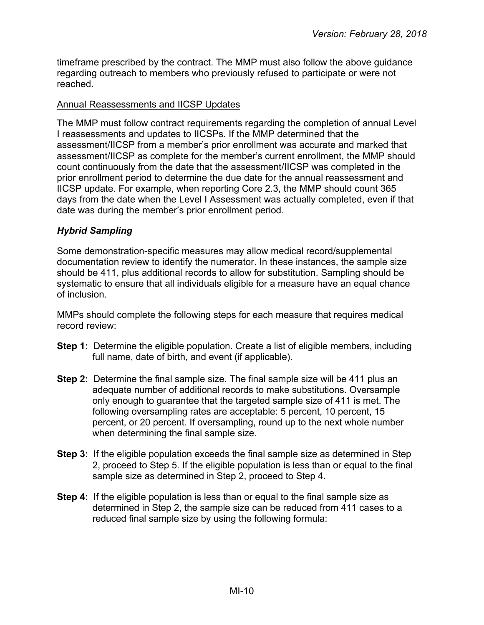timeframe prescribed by the contract. The MMP must also follow the above guidance regarding outreach to members who previously refused to participate or were not reached.

#### Annual Reassessments and IICSP Updates

The MMP must follow contract requirements regarding the completion of annual Level I reassessments and updates to IICSPs. If the MMP determined that the assessment/IICSP from a member's prior enrollment was accurate and marked that assessment/IICSP as complete for the member's current enrollment, the MMP should count continuously from the date that the assessment/IICSP was completed in the prior enrollment period to determine the due date for the annual reassessment and IICSP update. For example, when reporting Core 2.3, the MMP should count 365 days from the date when the Level I Assessment was actually completed, even if that date was during the member's prior enrollment period.

#### <span id="page-9-0"></span>*Hybrid Sampling*

Some demonstration-specific measures may allow medical record/supplemental documentation review to identify the numerator. In these instances, the sample size should be 411, plus additional records to allow for substitution. Sampling should be systematic to ensure that all individuals eligible for a measure have an equal chance of inclusion.

MMPs should complete the following steps for each measure that requires medical record review:

- **Step 1:** Determine the eligible population. Create a list of eligible members, including full name, date of birth, and event (if applicable).
- **Step 2:** Determine the final sample size. The final sample size will be 411 plus an adequate number of additional records to make substitutions. Oversample only enough to guarantee that the targeted sample size of 411 is met. The following oversampling rates are acceptable: 5 percent, 10 percent, 15 percent, or 20 percent. If oversampling, round up to the next whole number when determining the final sample size.
- **Step 3:** If the eligible population exceeds the final sample size as determined in Step 2, proceed to Step 5. If the eligible population is less than or equal to the final sample size as determined in Step 2, proceed to Step 4.
- **Step 4:** If the eligible population is less than or equal to the final sample size as determined in Step 2, the sample size can be reduced from 411 cases to a reduced final sample size by using the following formula: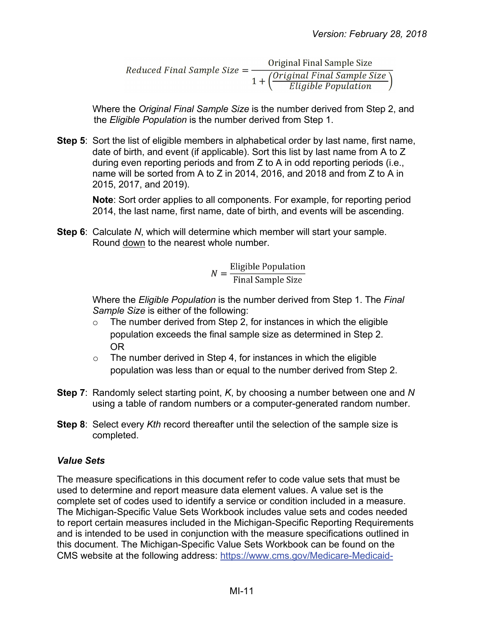Reduced Final Sample Size =  $\frac{Original$  Final Sample Size<br>1 +  $\left(\frac{Original$  Final Sample Size  $\frac{1}{Eligible}$  Population

Where the *Original Final Sample Size* is the number derived from Step 2, and the *Eligible Population* is the number derived from Step 1.

**Step 5:** Sort the list of eligible members in alphabetical order by last name, first name, date of birth, and event (if applicable). Sort this list by last name from A to Z during even reporting periods and from Z to A in odd reporting periods (i.e., name will be sorted from A to Z in 2014, 2016, and 2018 and from Z to A in 2015, 2017, and 2019).

**Note**: Sort order applies to all components. For example, for reporting period 2014, the last name, first name, date of birth, and events will be ascending.

**Step 6**: Calculate *N*, which will determine which member will start your sample. Round down to the nearest whole number.

 $N = \frac{\text{Eligible Population}}{\text{Final Sample Size}}$ 

Where the *Eligible Population* is the number derived from Step 1. The *Final Sample Size* is either of the following:

- $\circ$  The number derived from Step 2, for instances in which the eligible population exceeds the final sample size as determined in Step 2. OR
- $\circ$  The number derived in Step 4, for instances in which the eligible population was less than or equal to the number derived from Step 2.
- **Step 7**:Randomly select starting point, *K*, by choosing a number between one and *N* using a table of random numbers or a computer-generated random number.
- **Step 8**: Select every *Kth* record thereafter until the selection of the sample size is completed.

# <span id="page-10-0"></span>*Value Sets*

The measure specifications in this document refer to code value sets that must be used to determine and report measure data element values. A value set is the complete set of codes used to identify a service or condition included in a measure. The Michigan-Specific Value Sets Workbook includes value sets and codes needed to report certain measures included in the Michigan-Specific Reporting Requirements and is intended to be used in conjunction with the measure specifications outlined in this document. The Michigan-Specific Value Sets Workbook can be found on the CMS website at the following address: [https://www.cms.gov/Medicare-Medicaid-](https://www.cms.gov/Medicare-Medicaid-Coordination/Medicare-and-Medicaid-Coordination/Medicare-Medicaid-Coordination-Office/FinancialAlignmentInitiative/MMPInformationandGuidance/MMPReportingRequirements.html)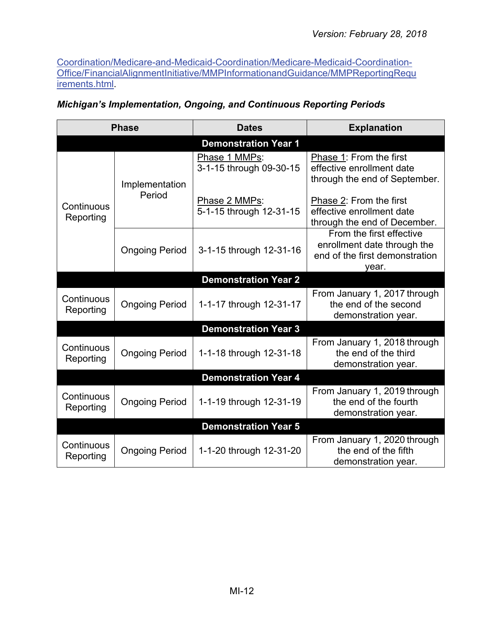[Coordination/Medicare-and-Medicaid-Coordination/Medicare-Medicaid-Coordination-](https://www.cms.gov/Medicare-Medicaid-Coordination/Medicare-and-Medicaid-Coordination/Medicare-Medicaid-Coordination-Office/FinancialAlignmentInitiative/MMPInformationandGuidance/MMPReportingRequirements.html)[Office/FinancialAlignmentInitiative/MMPInformationandGuidance/MMPReportingRequ](https://www.cms.gov/Medicare-Medicaid-Coordination/Medicare-and-Medicaid-Coordination/Medicare-Medicaid-Coordination-Office/FinancialAlignmentInitiative/MMPInformationandGuidance/MMPReportingRequirements.html) [irements.html.](https://www.cms.gov/Medicare-Medicaid-Coordination/Medicare-and-Medicaid-Coordination/Medicare-Medicaid-Coordination-Office/FinancialAlignmentInitiative/MMPInformationandGuidance/MMPReportingRequirements.html)

## <span id="page-11-0"></span>*Michigan's Implementation, Ongoing, and Continuous Reporting Periods*

<span id="page-11-1"></span>

| <b>Phase</b>            |                       | <b>Dates</b>                             | <b>Explanation</b>                                                                                 |
|-------------------------|-----------------------|------------------------------------------|----------------------------------------------------------------------------------------------------|
|                         |                       | <b>Demonstration Year 1</b>              |                                                                                                    |
|                         | Implementation        | Phase 1 MMPs:<br>3-1-15 through 09-30-15 | Phase 1: From the first<br>effective enrollment date<br>through the end of September.              |
| Continuous<br>Reporting | Period                | Phase 2 MMPs:<br>5-1-15 through 12-31-15 | Phase 2: From the first<br>effective enrollment date<br>through the end of December.               |
|                         | <b>Ongoing Period</b> | 3-1-15 through 12-31-16                  | From the first effective<br>enrollment date through the<br>end of the first demonstration<br>year. |
|                         |                       | <b>Demonstration Year 2</b>              |                                                                                                    |
| Continuous<br>Reporting | <b>Ongoing Period</b> | 1-1-17 through 12-31-17                  | From January 1, 2017 through<br>the end of the second<br>demonstration year.                       |
|                         |                       | <b>Demonstration Year 3</b>              |                                                                                                    |
| Continuous<br>Reporting | <b>Ongoing Period</b> | 1-1-18 through 12-31-18                  | From January 1, 2018 through<br>the end of the third<br>demonstration year.                        |
|                         |                       | <b>Demonstration Year 4</b>              |                                                                                                    |
| Continuous<br>Reporting | <b>Ongoing Period</b> | 1-1-19 through 12-31-19                  | From January 1, 2019 through<br>the end of the fourth<br>demonstration year.                       |
|                         |                       | <b>Demonstration Year 5</b>              |                                                                                                    |
| Continuous<br>Reporting | <b>Ongoing Period</b> | 1-1-20 through 12-31-20                  | From January 1, 2020 through<br>the end of the fifth<br>demonstration year.                        |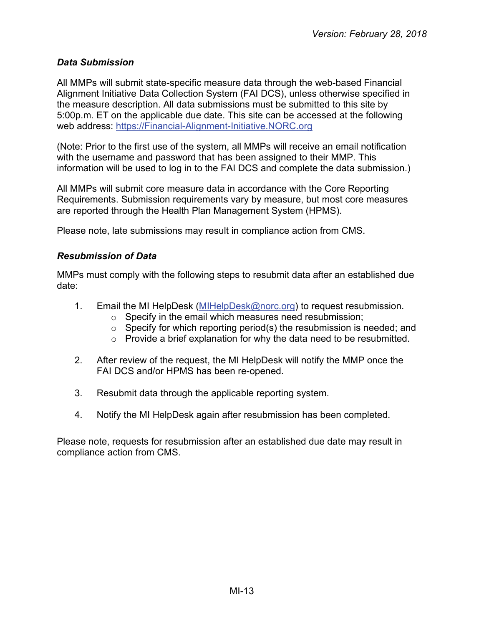#### *Data Submission*

All MMPs will submit state-specific measure data through the web-based Financial Alignment Initiative Data Collection System (FAI DCS), unless otherwise specified in the measure description. All data submissions must be submitted to this site by 5:00p.m. ET on the applicable due date. This site can be accessed at the following web address: [https://Financial-Alignment-Initiative.NORC.org](https://financial-alignment-initiative.norc.org/)

(Note: Prior to the first use of the system, all MMPs will receive an email notification with the username and password that has been assigned to their MMP. This information will be used to log in to the FAI DCS and complete the data submission.)

All MMPs will submit core measure data in accordance with the Core Reporting Requirements. Submission requirements vary by measure, but most core measures are reported through the Health Plan Management System (HPMS).

Please note, late submissions may result in compliance action from CMS.

#### <span id="page-12-0"></span>*Resubmission of Data*

MMPs must comply with the following steps to resubmit data after an established due date:

- 1. Email the MI HelpDesk [\(MIHelpDesk@norc.org\)](mailto:MIHelpDesk@norc.org) to request resubmission.
	- o Specify in the email which measures need resubmission;
	- $\circ$  Specify for which reporting period(s) the resubmission is needed; and
	- $\circ$  Provide a brief explanation for why the data need to be resubmitted.
- 2. After review of the request, the MI HelpDesk will notify the MMP once the FAI DCS and/or HPMS has been re-opened.
- 3. Resubmit data through the applicable reporting system.
- 4. Notify the MI HelpDesk again after resubmission has been completed.

Please note, requests for resubmission after an established due date may result in compliance action from CMS.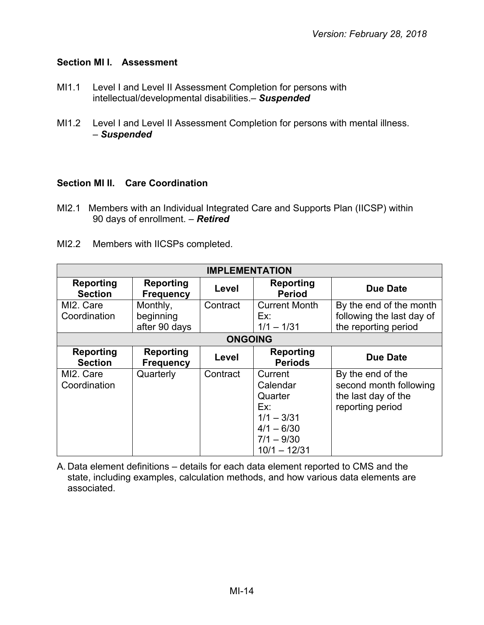#### <span id="page-13-0"></span>**Section MI I. Assessment**

- MI1.1 Level I and Level II Assessment Completion for persons with intellectual/developmental disabilities.– *Suspended*
- MI1.2 Level I and Level II Assessment Completion for persons with mental illness. – *Suspended*

#### <span id="page-13-1"></span>**Section MI II. Care Coordination**

- MI2.1 Members with an Individual Integrated Care and Supports Plan (IICSP) within 90 days of enrollment. – *Retired*
- MI2.2 Members with IICSPs completed.

| <b>IMPLEMENTATION</b>              |                                        |                |                                                                                                         |                                                                                        |
|------------------------------------|----------------------------------------|----------------|---------------------------------------------------------------------------------------------------------|----------------------------------------------------------------------------------------|
| <b>Reporting</b><br><b>Section</b> | Reporting<br><b>Frequency</b>          | Level          | Reporting<br><b>Period</b>                                                                              | Due Date                                                                               |
| MI2. Care<br>Coordination          | Monthly,<br>beginning<br>after 90 days | Contract       | <b>Current Month</b><br>Ex:<br>$1/1 - 1/31$                                                             | By the end of the month<br>following the last day of<br>the reporting period           |
|                                    |                                        | <b>ONGOING</b> |                                                                                                         |                                                                                        |
| <b>Reporting</b><br><b>Section</b> | Reporting<br><b>Frequency</b>          | Level          | Reporting<br><b>Periods</b>                                                                             | <b>Due Date</b>                                                                        |
| MI2. Care<br>Coordination          | Quarterly                              | Contract       | Current<br>Calendar<br>Quarter<br>Ex:<br>$1/1 - 3/31$<br>$4/1 - 6/30$<br>$7/1 - 9/30$<br>$10/1 - 12/31$ | By the end of the<br>second month following<br>the last day of the<br>reporting period |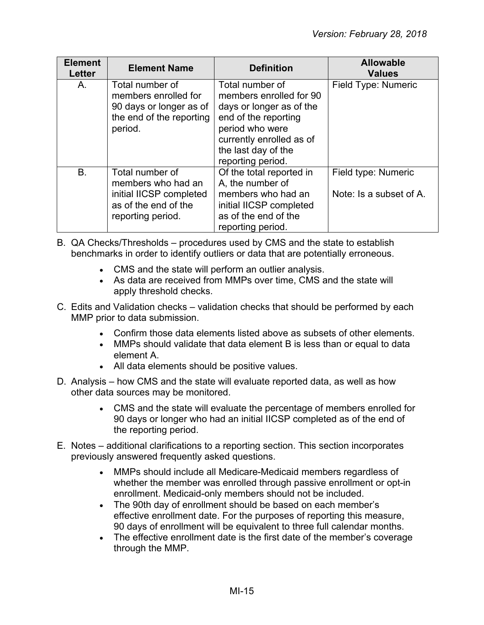| <b>Element</b><br><b>Letter</b> | <b>Element Name</b>                                                                                           | <b>Definition</b>                                                                                                                                                                         | <b>Allowable</b><br><b>Values</b>              |
|---------------------------------|---------------------------------------------------------------------------------------------------------------|-------------------------------------------------------------------------------------------------------------------------------------------------------------------------------------------|------------------------------------------------|
| Α.                              | Total number of<br>members enrolled for<br>90 days or longer as of<br>the end of the reporting<br>period.     | Total number of<br>members enrolled for 90<br>days or longer as of the<br>end of the reporting<br>period who were<br>currently enrolled as of<br>the last day of the<br>reporting period. | Field Type: Numeric                            |
| B.                              | Total number of<br>members who had an<br>initial IICSP completed<br>as of the end of the<br>reporting period. | Of the total reported in<br>A, the number of<br>members who had an<br>initial IICSP completed<br>as of the end of the<br>reporting period.                                                | Field type: Numeric<br>Note: Is a subset of A. |

- B. QA Checks/Thresholds procedures used by CMS and the state to establish benchmarks in order to identify outliers or data that are potentially erroneous.
	- CMS and the state will perform an outlier analysis.
	- As data are received from MMPs over time, CMS and the state will apply threshold checks.
- C. Edits and Validation checks validation checks that should be performed by each MMP prior to data submission.
	- Confirm those data elements listed above as subsets of other elements.
	- MMPs should validate that data element B is less than or equal to data element A.
	- All data elements should be positive values.
- D. Analysis how CMS and the state will evaluate reported data, as well as how other data sources may be monitored.
	- CMS and the state will evaluate the percentage of members enrolled for 90 days or longer who had an initial IICSP completed as of the end of the reporting period.
- E. Notes additional clarifications to a reporting section. This section incorporates previously answered frequently asked questions.
	- MMPs should include all Medicare-Medicaid members regardless of whether the member was enrolled through passive enrollment or opt-in enrollment. Medicaid-only members should not be included.
	- The 90th day of enrollment should be based on each member's effective enrollment date. For the purposes of reporting this measure, 90 days of enrollment will be equivalent to three full calendar months.
	- The effective enrollment date is the first date of the member's coverage through the MMP.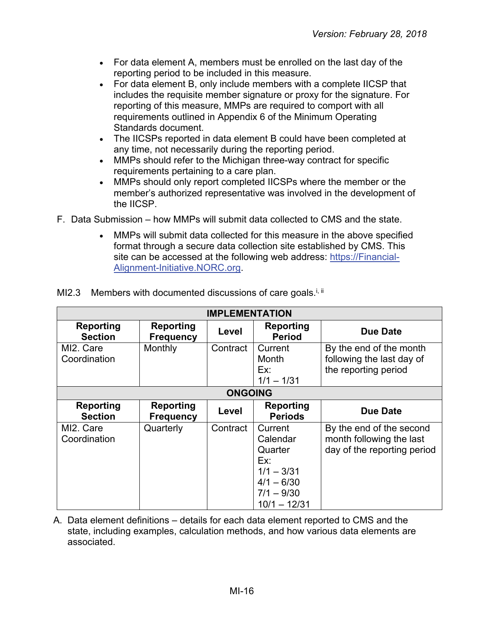- For data element A, members must be enrolled on the last day of the reporting period to be included in this measure.
- For data element B, only include members with a complete IICSP that includes the requisite member signature or proxy for the signature. For reporting of this measure, MMPs are required to comport with all requirements outlined in Appendix 6 of the Minimum Operating Standards document.
- The IICSPs reported in data element B could have been completed at any time, not necessarily during the reporting period.
- MMPs should refer to the Michigan three-way contract for specific requirements pertaining to a care plan.
- MMPs should only report completed IICSPs where the member or the member's authorized representative was involved in the development of the IICSP.
- F. Data Submission how MMPs will submit data collected to CMS and the state.
	- MMPs will submit data collected for this measure in the above specified format through a secure data collection site established by CMS. This site can be accessed at the following web address: [https://Financial-](https://financial-alignment-initiative.norc.org/)[Alignment-Initiative.NORC.org.](https://financial-alignment-initiative.norc.org/)

| <b>IMPLEMENTATION</b>              |                                      |                |                                                                                                         |                                                                                     |
|------------------------------------|--------------------------------------|----------------|---------------------------------------------------------------------------------------------------------|-------------------------------------------------------------------------------------|
| <b>Reporting</b><br><b>Section</b> | <b>Reporting</b><br><b>Frequency</b> | Level          | Reporting<br><b>Period</b>                                                                              | <b>Due Date</b>                                                                     |
| MI2. Care<br>Coordination          | Monthly                              | Contract       | Current<br>Month<br>Ex:<br>$1/1 - 1/31$                                                                 | By the end of the month<br>following the last day of<br>the reporting period        |
|                                    |                                      | <b>ONGOING</b> |                                                                                                         |                                                                                     |
| <b>Reporting</b><br><b>Section</b> | <b>Reporting</b><br><b>Frequency</b> | Level          | <b>Reporting</b><br><b>Periods</b>                                                                      | Due Date                                                                            |
| MI2. Care<br>Coordination          | Quarterly                            | Contract       | Current<br>Calendar<br>Quarter<br>Ex:<br>$1/1 - 3/31$<br>$4/1 - 6/30$<br>$7/1 - 9/30$<br>$10/1 - 12/31$ | By the end of the second<br>month following the last<br>day of the reporting period |

MI2.3 Members with documented discussions of care goals.<sup>i, ii</sup>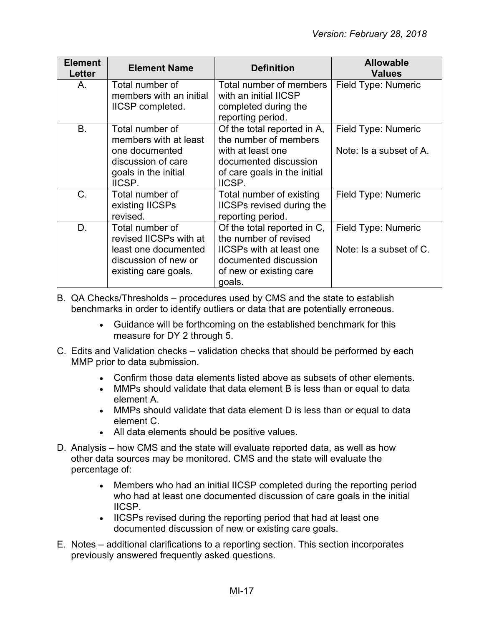| <b>Element</b><br><b>Letter</b> | <b>Element Name</b>                                                                                                | <b>Definition</b>                                                                                                                                     | <b>Allowable</b><br><b>Values</b>              |
|---------------------------------|--------------------------------------------------------------------------------------------------------------------|-------------------------------------------------------------------------------------------------------------------------------------------------------|------------------------------------------------|
| Α.                              | Total number of<br>members with an initial<br>IICSP completed.                                                     | Total number of members<br>with an initial IICSP<br>completed during the<br>reporting period.                                                         | Field Type: Numeric                            |
| <b>B.</b>                       | Total number of<br>members with at least<br>one documented<br>discussion of care<br>goals in the initial<br>IICSP. | Of the total reported in A,<br>the number of members<br>with at least one<br>documented discussion<br>of care goals in the initial<br>IICSP.          | Field Type: Numeric<br>Note: Is a subset of A. |
| C.                              | Total number of<br>existing IICSPs<br>revised.                                                                     | Total number of existing<br><b>IICSPs revised during the</b><br>reporting period.                                                                     | Field Type: Numeric                            |
| D.                              | Total number of<br>revised IICSPs with at<br>least one documented<br>discussion of new or<br>existing care goals.  | Of the total reported in C,<br>the number of revised<br><b>IICSPs with at least one</b><br>documented discussion<br>of new or existing care<br>goals. | Field Type: Numeric<br>Note: Is a subset of C. |

- B. QA Checks/Thresholds procedures used by CMS and the state to establish benchmarks in order to identify outliers or data that are potentially erroneous.
	- Guidance will be forthcoming on the established benchmark for this measure for DY 2 through 5.
- C. Edits and Validation checks validation checks that should be performed by each MMP prior to data submission.
	- Confirm those data elements listed above as subsets of other elements.
	- MMPs should validate that data element B is less than or equal to data element A.
	- MMPs should validate that data element D is less than or equal to data element C.
	- All data elements should be positive values.
- D. Analysis how CMS and the state will evaluate reported data, as well as how other data sources may be monitored. CMS and the state will evaluate the percentage of:
	- Members who had an initial IICSP completed during the reporting period who had at least one documented discussion of care goals in the initial IICSP.
	- IICSPs revised during the reporting period that had at least one documented discussion of new or existing care goals.
- E. Notes additional clarifications to a reporting section. This section incorporates previously answered frequently asked questions.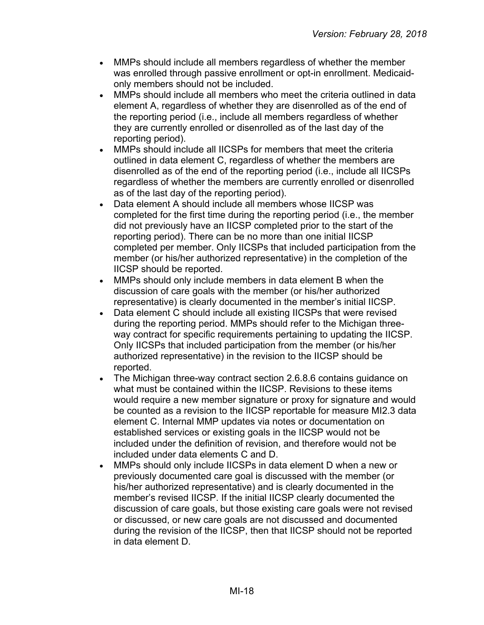- MMPs should include all members regardless of whether the member was enrolled through passive enrollment or opt-in enrollment. Medicaidonly members should not be included.
- MMPs should include all members who meet the criteria outlined in data element A, regardless of whether they are disenrolled as of the end of the reporting period (i.e., include all members regardless of whether they are currently enrolled or disenrolled as of the last day of the reporting period).
- MMPs should include all IICSPs for members that meet the criteria outlined in data element C, regardless of whether the members are disenrolled as of the end of the reporting period (i.e., include all IICSPs regardless of whether the members are currently enrolled or disenrolled as of the last day of the reporting period).
- Data element A should include all members whose IICSP was completed for the first time during the reporting period (i.e., the member did not previously have an IICSP completed prior to the start of the reporting period). There can be no more than one initial IICSP completed per member. Only IICSPs that included participation from the member (or his/her authorized representative) in the completion of the IICSP should be reported.
- MMPs should only include members in data element B when the discussion of care goals with the member (or his/her authorized representative) is clearly documented in the member's initial IICSP.
- Data element C should include all existing IICSPs that were revised during the reporting period. MMPs should refer to the Michigan threeway contract for specific requirements pertaining to updating the IICSP. Only IICSPs that included participation from the member (or his/her authorized representative) in the revision to the IICSP should be reported.
- The Michigan three-way contract section 2.6.8.6 contains guidance on what must be contained within the IICSP. Revisions to these items would require a new member signature or proxy for signature and would be counted as a revision to the IICSP reportable for measure MI2.3 data element C. Internal MMP updates via notes or documentation on established services or existing goals in the IICSP would not be included under the definition of revision, and therefore would not be included under data elements C and D.
- MMPs should only include IICSPs in data element D when a new or previously documented care goal is discussed with the member (or his/her authorized representative) and is clearly documented in the member's revised IICSP. If the initial IICSP clearly documented the discussion of care goals, but those existing care goals were not revised or discussed, or new care goals are not discussed and documented during the revision of the IICSP, then that IICSP should not be reported in data element D.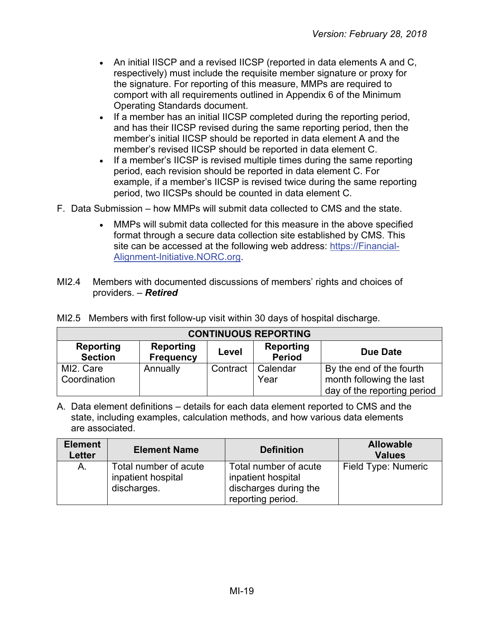- An initial IISCP and a revised IICSP (reported in data elements A and C, respectively) must include the requisite member signature or proxy for the signature. For reporting of this measure, MMPs are required to comport with all requirements outlined in Appendix 6 of the Minimum Operating Standards document.
- If a member has an initial IICSP completed during the reporting period, and has their IICSP revised during the same reporting period, then the member's initial IICSP should be reported in data element A and the member's revised IICSP should be reported in data element C.
- If a member's IICSP is revised multiple times during the same reporting period, each revision should be reported in data element C. For example, if a member's IICSP is revised twice during the same reporting period, two IICSPs should be counted in data element C.
- F. Data Submission how MMPs will submit data collected to CMS and the state.
	- MMPs will submit data collected for this measure in the above specified format through a secure data collection site established by CMS. This site can be accessed at the following web address: [https://Financial-](https://financial-alignment-initiative.norc.org/)[Alignment-Initiative.NORC.org.](https://financial-alignment-initiative.norc.org/)
- MI2.4 Members with documented discussions of members' rights and choices of providers. – *Retired*

| <b>CONTINUOUS REPORTING</b> |                                      |          |                            |                             |  |
|-----------------------------|--------------------------------------|----------|----------------------------|-----------------------------|--|
| Reporting<br><b>Section</b> | <b>Reporting</b><br><b>Frequency</b> | Level    | Reporting<br><b>Period</b> | <b>Due Date</b>             |  |
| MI2. Care                   | Annually                             | Contract | Calendar                   | By the end of the fourth    |  |
| Coordination                |                                      |          | Year                       | month following the last    |  |
|                             |                                      |          |                            | day of the reporting period |  |

MI2.5 Members with first follow-up visit within 30 days of hospital discharge.

| <b>Element</b><br><b>Letter</b> | <b>Element Name</b>                                        | <b>Definition</b>                                                                         | <b>Allowable</b><br><b>Values</b> |
|---------------------------------|------------------------------------------------------------|-------------------------------------------------------------------------------------------|-----------------------------------|
| Α.                              | Total number of acute<br>inpatient hospital<br>discharges. | Total number of acute<br>inpatient hospital<br>discharges during the<br>reporting period. | Field Type: Numeric               |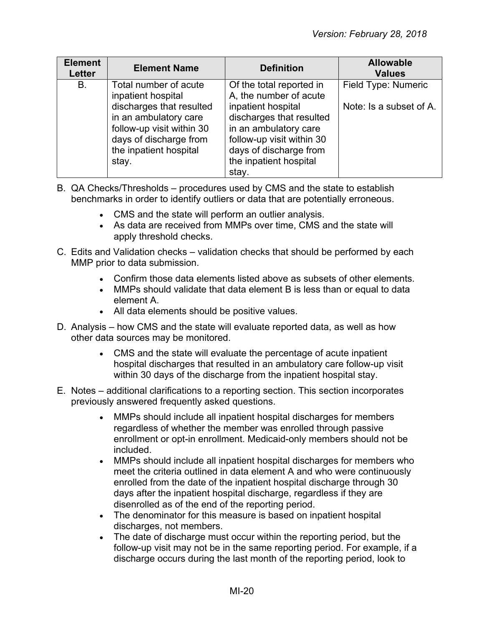| <b>Element</b><br>Letter | <b>Element Name</b>                                                                                                                                                                        | <b>Definition</b>                                                                                                                                                                                              | <b>Allowable</b><br><b>Values</b>              |
|--------------------------|--------------------------------------------------------------------------------------------------------------------------------------------------------------------------------------------|----------------------------------------------------------------------------------------------------------------------------------------------------------------------------------------------------------------|------------------------------------------------|
| B.                       | Total number of acute<br>inpatient hospital<br>discharges that resulted<br>in an ambulatory care<br>follow-up visit within 30<br>days of discharge from<br>the inpatient hospital<br>stay. | Of the total reported in<br>A, the number of acute<br>inpatient hospital<br>discharges that resulted<br>in an ambulatory care<br>follow-up visit within 30<br>days of discharge from<br>the inpatient hospital | Field Type: Numeric<br>Note: Is a subset of A. |
|                          |                                                                                                                                                                                            | stay.                                                                                                                                                                                                          |                                                |

- B. QA Checks/Thresholds procedures used by CMS and the state to establish benchmarks in order to identify outliers or data that are potentially erroneous.
	- CMS and the state will perform an outlier analysis.
	- As data are received from MMPs over time, CMS and the state will apply threshold checks.
- C. Edits and Validation checks validation checks that should be performed by each MMP prior to data submission.
	- Confirm those data elements listed above as subsets of other elements.
	- MMPs should validate that data element B is less than or equal to data element A.
	- All data elements should be positive values.
- D. Analysis how CMS and the state will evaluate reported data, as well as how other data sources may be monitored.
	- CMS and the state will evaluate the percentage of acute inpatient hospital discharges that resulted in an ambulatory care follow-up visit within 30 days of the discharge from the inpatient hospital stay.
- E. Notes additional clarifications to a reporting section. This section incorporates previously answered frequently asked questions.
	- MMPs should include all inpatient hospital discharges for members regardless of whether the member was enrolled through passive enrollment or opt-in enrollment. Medicaid-only members should not be included.
	- MMPs should include all inpatient hospital discharges for members who meet the criteria outlined in data element A and who were continuously enrolled from the date of the inpatient hospital discharge through 30 days after the inpatient hospital discharge, regardless if they are disenrolled as of the end of the reporting period.
	- The denominator for this measure is based on inpatient hospital discharges, not members.
	- The date of discharge must occur within the reporting period, but the follow-up visit may not be in the same reporting period. For example, if a discharge occurs during the last month of the reporting period, look to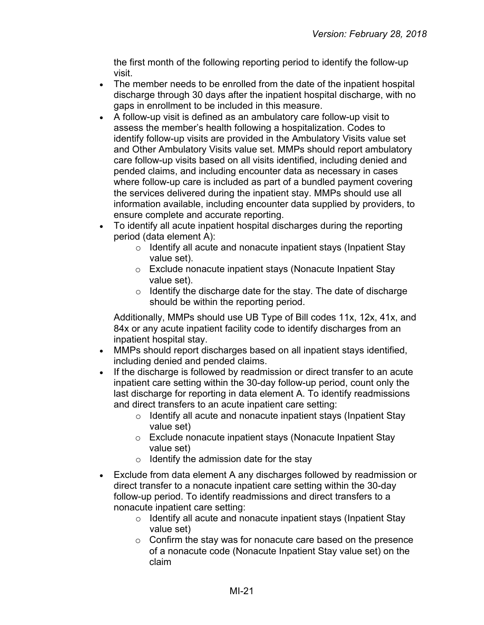the first month of the following reporting period to identify the follow-up visit.

- The member needs to be enrolled from the date of the inpatient hospital discharge through 30 days after the inpatient hospital discharge, with no gaps in enrollment to be included in this measure.
- A follow-up visit is defined as an ambulatory care follow-up visit to assess the member's health following a hospitalization. Codes to identify follow-up visits are provided in the Ambulatory Visits value set and Other Ambulatory Visits value set. MMPs should report ambulatory care follow-up visits based on all visits identified, including denied and pended claims, and including encounter data as necessary in cases where follow-up care is included as part of a bundled payment covering the services delivered during the inpatient stay. MMPs should use all information available, including encounter data supplied by providers, to ensure complete and accurate reporting.
- To identify all acute inpatient hospital discharges during the reporting period (data element A):
	- o Identify all acute and nonacute inpatient stays (Inpatient Stay value set).
	- o Exclude nonacute inpatient stays (Nonacute Inpatient Stay value set).
	- $\circ$  Identify the discharge date for the stay. The date of discharge should be within the reporting period.

Additionally, MMPs should use UB Type of Bill codes 11x, 12x, 41x, and 84x or any acute inpatient facility code to identify discharges from an inpatient hospital stay.

- MMPs should report discharges based on all inpatient stays identified, including denied and pended claims.
- If the discharge is followed by readmission or direct transfer to an acute inpatient care setting within the 30-day follow-up period, count only the last discharge for reporting in data element A. To identify readmissions and direct transfers to an acute inpatient care setting:
	- $\circ$  Identify all acute and nonacute inpatient stays (Inpatient Stay value set)
	- o Exclude nonacute inpatient stays (Nonacute Inpatient Stay value set)
	- $\circ$  Identify the admission date for the stay
- Exclude from data element A any discharges followed by readmission or direct transfer to a nonacute inpatient care setting within the 30-day follow-up period. To identify readmissions and direct transfers to a nonacute inpatient care setting:
	- o Identify all acute and nonacute inpatient stays (Inpatient Stay value set)
	- $\circ$  Confirm the stay was for nonacute care based on the presence of a nonacute code (Nonacute Inpatient Stay value set) on the claim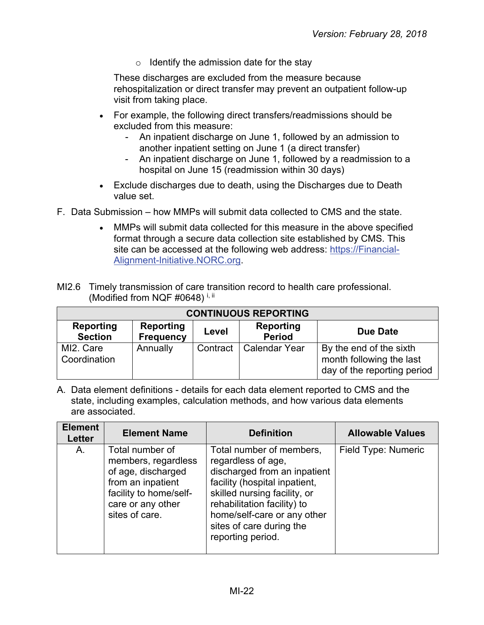$\circ$  Identify the admission date for the stay

These discharges are excluded from the measure because rehospitalization or direct transfer may prevent an outpatient follow-up visit from taking place.

- For example, the following direct transfers/readmissions should be excluded from this measure:
	- An inpatient discharge on June 1, followed by an admission to another inpatient setting on June 1 (a direct transfer)
	- An inpatient discharge on June 1, followed by a readmission to a hospital on June 15 (readmission within 30 days)
- Exclude discharges due to death, using the Discharges due to Death value set.
- F. Data Submission how MMPs will submit data collected to CMS and the state.
	- MMPs will submit data collected for this measure in the above specified format through a secure data collection site established by CMS. This site can be accessed at the following web address: [https://Financial-](https://financial-alignment-initiative.norc.org/)[Alignment-Initiative.NORC.org.](https://financial-alignment-initiative.norc.org/)
- MI2.6 Timely transmission of care transition record to health care professional. (Modified from NQF #0648)  $^{\text{i, ii}}$

| <b>CONTINUOUS REPORTING</b> |                               |          |                            |                                                                                    |  |
|-----------------------------|-------------------------------|----------|----------------------------|------------------------------------------------------------------------------------|--|
| Reporting<br><b>Section</b> | <b>Reporting</b><br>Frequency | Level    | Reporting<br><b>Period</b> | Due Date                                                                           |  |
| MI2. Care<br>Coordination   | Annually                      | Contract | <b>Calendar Year</b>       | By the end of the sixth<br>month following the last<br>day of the reporting period |  |

| <b>Element</b><br><b>Letter</b> | <b>Element Name</b>                                                                                                                                | <b>Definition</b>                                                                                                                                                                                                                                              | <b>Allowable Values</b> |
|---------------------------------|----------------------------------------------------------------------------------------------------------------------------------------------------|----------------------------------------------------------------------------------------------------------------------------------------------------------------------------------------------------------------------------------------------------------------|-------------------------|
| А.                              | Total number of<br>members, regardless<br>of age, discharged<br>from an inpatient<br>facility to home/self-<br>care or any other<br>sites of care. | Total number of members,<br>regardless of age,<br>discharged from an inpatient<br>facility (hospital inpatient,<br>skilled nursing facility, or<br>rehabilitation facility) to<br>home/self-care or any other<br>sites of care during the<br>reporting period. | Field Type: Numeric     |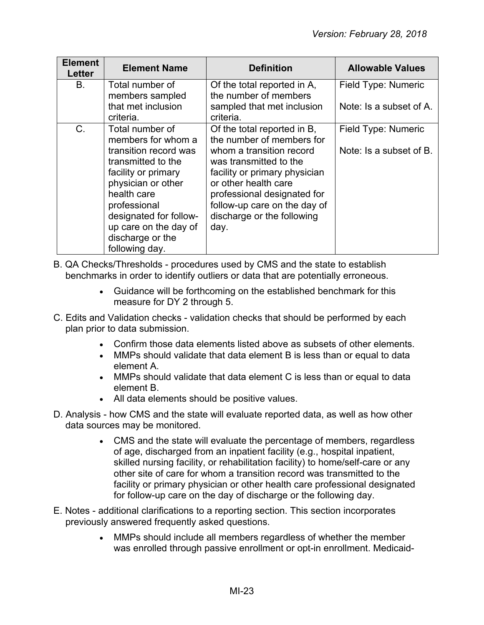| <b>Element</b><br>Letter | <b>Element Name</b>    | <b>Definition</b>             | <b>Allowable Values</b> |
|--------------------------|------------------------|-------------------------------|-------------------------|
| B.                       | Total number of        | Of the total reported in A,   | Field Type: Numeric     |
|                          | members sampled        | the number of members         |                         |
|                          | that met inclusion     | sampled that met inclusion    | Note: Is a subset of A. |
|                          | criteria.              | criteria.                     |                         |
| C.                       | Total number of        | Of the total reported in B,   | Field Type: Numeric     |
|                          | members for whom a     | the number of members for     |                         |
|                          | transition record was  | whom a transition record      | Note: Is a subset of B. |
|                          | transmitted to the     | was transmitted to the        |                         |
|                          | facility or primary    | facility or primary physician |                         |
|                          | physician or other     | or other health care          |                         |
|                          | health care            | professional designated for   |                         |
|                          | professional           | follow-up care on the day of  |                         |
|                          | designated for follow- | discharge or the following    |                         |
|                          | up care on the day of  | day.                          |                         |
|                          | discharge or the       |                               |                         |
|                          | following day.         |                               |                         |

B. QA Checks/Thresholds - procedures used by CMS and the state to establish benchmarks in order to identify outliers or data that are potentially erroneous.

- Guidance will be forthcoming on the established benchmark for this measure for DY 2 through 5.
- C. Edits and Validation checks validation checks that should be performed by each plan prior to data submission.
	- Confirm those data elements listed above as subsets of other elements.
	- MMPs should validate that data element B is less than or equal to data element A.
	- MMPs should validate that data element C is less than or equal to data element B.
	- All data elements should be positive values.
- D. Analysis how CMS and the state will evaluate reported data, as well as how other data sources may be monitored.
	- CMS and the state will evaluate the percentage of members, regardless of age, discharged from an inpatient facility (e.g., hospital inpatient, skilled nursing facility, or rehabilitation facility) to home/self-care or any other site of care for whom a transition record was transmitted to the facility or primary physician or other health care professional designated for follow-up care on the day of discharge or the following day.
- E. Notes additional clarifications to a reporting section. This section incorporates previously answered frequently asked questions.
	- MMPs should include all members regardless of whether the member was enrolled through passive enrollment or opt-in enrollment. Medicaid-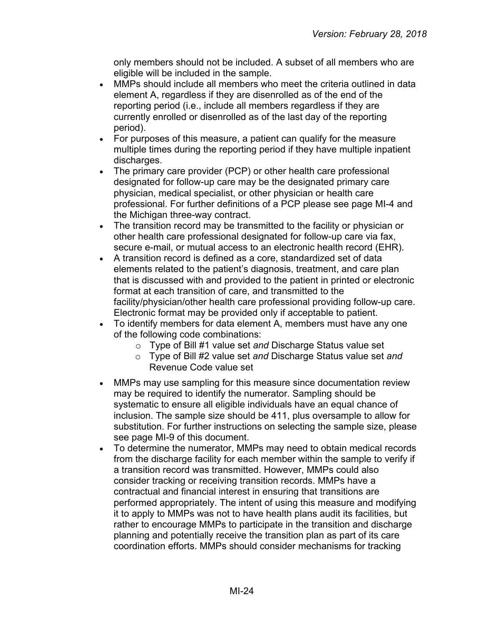only members should not be included. A subset of all members who are eligible will be included in the sample.

- MMPs should include all members who meet the criteria outlined in data element A, regardless if they are disenrolled as of the end of the reporting period (i.e., include all members regardless if they are currently enrolled or disenrolled as of the last day of the reporting period).
- For purposes of this measure, a patient can qualify for the measure multiple times during the reporting period if they have multiple inpatient discharges.
- The primary care provider (PCP) or other health care professional designated for follow-up care may be the designated primary care physician, medical specialist, or other physician or health care professional. For further definitions of a PCP please see page MI-4 and the Michigan three-way contract.
- The transition record may be transmitted to the facility or physician or other health care professional designated for follow-up care via fax, secure e-mail, or mutual access to an electronic health record (EHR).
- A transition record is defined as a core, standardized set of data elements related to the patient's diagnosis, treatment, and care plan that is discussed with and provided to the patient in printed or electronic format at each transition of care, and transmitted to the facility/physician/other health care professional providing follow-up care. Electronic format may be provided only if acceptable to patient.
- To identify members for data element A, members must have any one of the following code combinations:
	- o Type of Bill #1 value set *and* Discharge Status value set
	- o Type of Bill #2 value set *and* Discharge Status value set *and* Revenue Code value set
- MMPs may use sampling for this measure since documentation review may be required to identify the numerator. Sampling should be systematic to ensure all eligible individuals have an equal chance of inclusion. The sample size should be 411, plus oversample to allow for substitution. For further instructions on selecting the sample size, please see page MI-9 of this document.
- To determine the numerator, MMPs may need to obtain medical records from the discharge facility for each member within the sample to verify if a transition record was transmitted. However, MMPs could also consider tracking or receiving transition records. MMPs have a contractual and financial interest in ensuring that transitions are performed appropriately. The intent of using this measure and modifying it to apply to MMPs was not to have health plans audit its facilities, but rather to encourage MMPs to participate in the transition and discharge planning and potentially receive the transition plan as part of its care coordination efforts. MMPs should consider mechanisms for tracking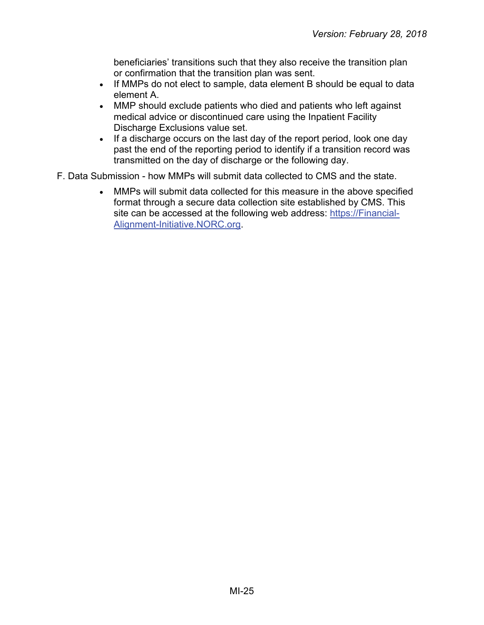beneficiaries' transitions such that they also receive the transition plan or confirmation that the transition plan was sent.

- If MMPs do not elect to sample, data element B should be equal to data element A.
- MMP should exclude patients who died and patients who left against medical advice or discontinued care using the Inpatient Facility Discharge Exclusions value set.
- If a discharge occurs on the last day of the report period, look one day past the end of the reporting period to identify if a transition record was transmitted on the day of discharge or the following day.

F. Data Submission - how MMPs will submit data collected to CMS and the state.

• MMPs will submit data collected for this measure in the above specified format through a secure data collection site established by CMS. This site can be accessed at the following web address: [https://Financial-](https://financial-alignment-initiative.norc.org/)[Alignment-Initiative.NORC.org.](https://financial-alignment-initiative.norc.org/)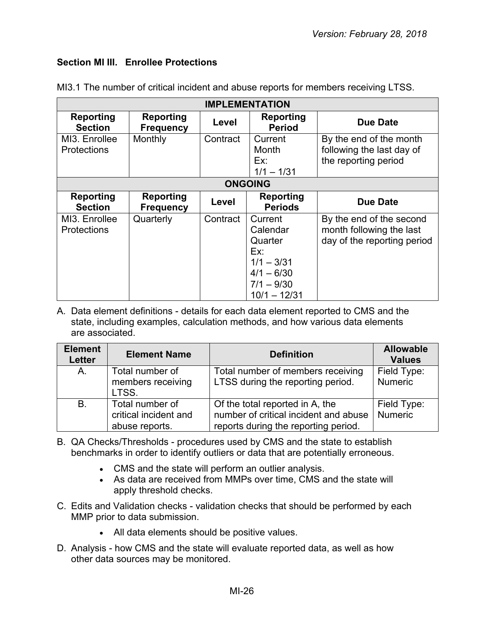## <span id="page-25-0"></span>**Section MI III. Enrollee Protections**

| <b>IMPLEMENTATION</b>               |                                      |          |                                                                                                         |                                                                                     |
|-------------------------------------|--------------------------------------|----------|---------------------------------------------------------------------------------------------------------|-------------------------------------------------------------------------------------|
| <b>Reporting</b><br><b>Section</b>  | <b>Reporting</b><br><b>Frequency</b> | Level    | Reporting<br><b>Period</b>                                                                              | <b>Due Date</b>                                                                     |
| MI3. Enrollee<br><b>Protections</b> | Monthly                              | Contract | Current<br><b>Month</b><br>Ex:<br>$1/1 - 1/31$                                                          | By the end of the month<br>following the last day of<br>the reporting period        |
|                                     |                                      |          | <b>ONGOING</b>                                                                                          |                                                                                     |
| <b>Reporting</b><br><b>Section</b>  | <b>Reporting</b><br><b>Frequency</b> | Level    | <b>Reporting</b><br><b>Periods</b>                                                                      | <b>Due Date</b>                                                                     |
| MI3. Enrollee<br><b>Protections</b> | Quarterly                            | Contract | Current<br>Calendar<br>Quarter<br>Ex:<br>$1/1 - 3/31$<br>$4/1 - 6/30$<br>$7/1 - 9/30$<br>$10/1 - 12/31$ | By the end of the second<br>month following the last<br>day of the reporting period |

MI3.1 The number of critical incident and abuse reports for members receiving LTSS.

| <b>Element</b><br><b>Letter</b> | <b>Element Name</b>                                        | <b>Definition</b>                                                                                                | <b>Allowable</b><br><b>Values</b> |
|---------------------------------|------------------------------------------------------------|------------------------------------------------------------------------------------------------------------------|-----------------------------------|
| A.                              | Total number of<br>members receiving<br>LTSS.              | Total number of members receiving<br>LTSS during the reporting period.                                           | Field Type:<br><b>Numeric</b>     |
| B.                              | Total number of<br>critical incident and<br>abuse reports. | Of the total reported in A, the<br>number of critical incident and abuse<br>reports during the reporting period. | Field Type:<br><b>Numeric</b>     |

- B. QA Checks/Thresholds procedures used by CMS and the state to establish benchmarks in order to identify outliers or data that are potentially erroneous.
	- CMS and the state will perform an outlier analysis.
	- As data are received from MMPs over time, CMS and the state will apply threshold checks.
- C. Edits and Validation checks validation checks that should be performed by each MMP prior to data submission.
	- All data elements should be positive values.
- D. Analysis how CMS and the state will evaluate reported data, as well as how other data sources may be monitored.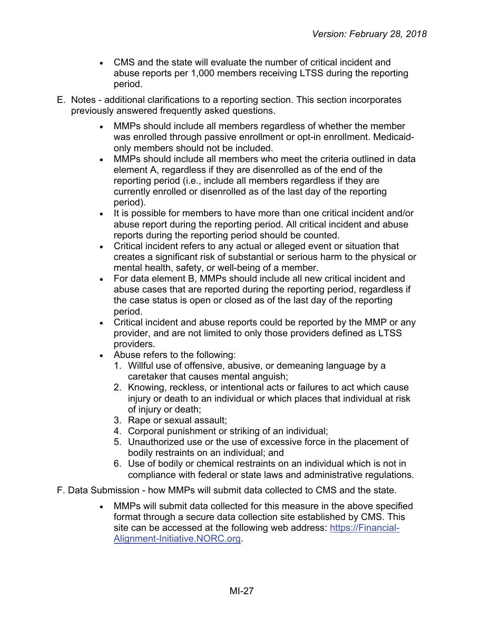- CMS and the state will evaluate the number of critical incident and abuse reports per 1,000 members receiving LTSS during the reporting period.
- E. Notes additional clarifications to a reporting section. This section incorporates previously answered frequently asked questions.
	- MMPs should include all members regardless of whether the member was enrolled through passive enrollment or opt-in enrollment. Medicaidonly members should not be included.
	- MMPs should include all members who meet the criteria outlined in data element A, regardless if they are disenrolled as of the end of the reporting period (i.e., include all members regardless if they are currently enrolled or disenrolled as of the last day of the reporting period).
	- It is possible for members to have more than one critical incident and/or abuse report during the reporting period. All critical incident and abuse reports during the reporting period should be counted.
	- Critical incident refers to any actual or alleged event or situation that creates a significant risk of substantial or serious harm to the physical or mental health, safety, or well-being of a member.
	- For data element B, MMPs should include all new critical incident and abuse cases that are reported during the reporting period, regardless if the case status is open or closed as of the last day of the reporting period.
	- Critical incident and abuse reports could be reported by the MMP or any provider, and are not limited to only those providers defined as LTSS providers.
	- Abuse refers to the following:
		- 1. Willful use of offensive, abusive, or demeaning language by a caretaker that causes mental anguish;
		- 2. Knowing, reckless, or intentional acts or failures to act which cause injury or death to an individual or which places that individual at risk of injury or death;
		- 3. Rape or sexual assault;
		- 4. Corporal punishment or striking of an individual;
		- 5. Unauthorized use or the use of excessive force in the placement of bodily restraints on an individual; and
		- 6. Use of bodily or chemical restraints on an individual which is not in compliance with federal or state laws and administrative regulations.
- F. Data Submission how MMPs will submit data collected to CMS and the state.
	- MMPs will submit data collected for this measure in the above specified format through a secure data collection site established by CMS. This site can be accessed at the following web address: [https://Financial-](https://financial-alignment-initiative.norc.org/)[Alignment-Initiative.NORC.org.](https://financial-alignment-initiative.norc.org/)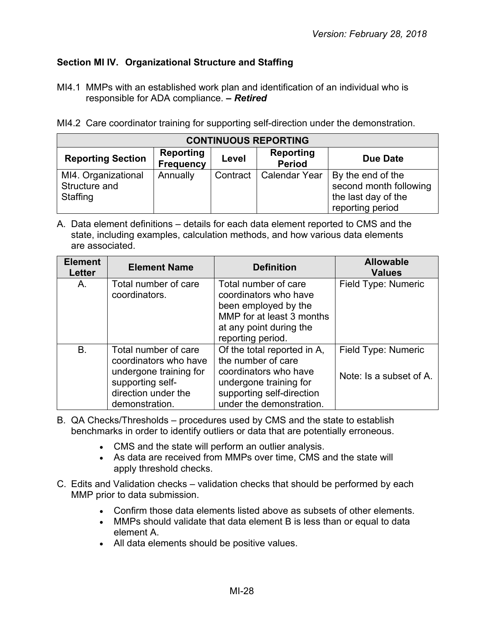# <span id="page-27-0"></span>**Section MI IV. Organizational Structure and Staffing**

MI4.1 MMPs with an established work plan and identification of an individual who is responsible for ADA compliance. **–** *Retired*

MI4.2 Care coordinator training for supporting self-direction under the demonstration.

| <b>CONTINUOUS REPORTING</b>                      |                                      |          |                            |                                                                                        |  |  |
|--------------------------------------------------|--------------------------------------|----------|----------------------------|----------------------------------------------------------------------------------------|--|--|
| <b>Reporting Section</b>                         | <b>Reporting</b><br><b>Frequency</b> | Level    | Reporting<br><b>Period</b> | Due Date                                                                               |  |  |
| MI4. Organizational<br>Structure and<br>Staffing | Annually                             | Contract | <b>Calendar Year</b>       | By the end of the<br>second month following<br>the last day of the<br>reporting period |  |  |

| <b>Element</b><br><b>Letter</b> | <b>Element Name</b>                                                                                                                  | <b>Definition</b>                                                                                                                                             | <b>Allowable</b><br><b>Values</b>              |
|---------------------------------|--------------------------------------------------------------------------------------------------------------------------------------|---------------------------------------------------------------------------------------------------------------------------------------------------------------|------------------------------------------------|
| Α.                              | Total number of care<br>coordinators.                                                                                                | Total number of care<br>coordinators who have<br>been employed by the<br>MMP for at least 3 months<br>at any point during the<br>reporting period.            | Field Type: Numeric                            |
| B.                              | Total number of care<br>coordinators who have<br>undergone training for<br>supporting self-<br>direction under the<br>demonstration. | Of the total reported in A,<br>the number of care<br>coordinators who have<br>undergone training for<br>supporting self-direction<br>under the demonstration. | Field Type: Numeric<br>Note: Is a subset of A. |

- B. QA Checks/Thresholds procedures used by CMS and the state to establish benchmarks in order to identify outliers or data that are potentially erroneous.
	- CMS and the state will perform an outlier analysis.
	- As data are received from MMPs over time, CMS and the state will apply threshold checks.
- C. Edits and Validation checks validation checks that should be performed by each MMP prior to data submission.
	- Confirm those data elements listed above as subsets of other elements.
	- MMPs should validate that data element B is less than or equal to data element A.
	- All data elements should be positive values.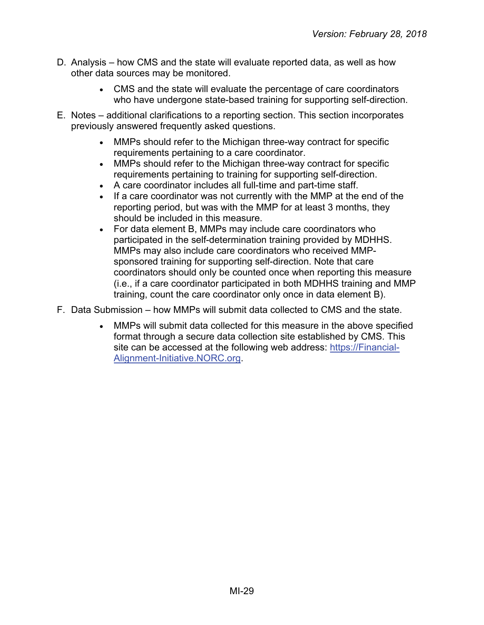- D. Analysis how CMS and the state will evaluate reported data, as well as how other data sources may be monitored.
	- CMS and the state will evaluate the percentage of care coordinators who have undergone state-based training for supporting self-direction.
- E. Notes additional clarifications to a reporting section. This section incorporates previously answered frequently asked questions.
	- MMPs should refer to the Michigan three-way contract for specific requirements pertaining to a care coordinator.
	- MMPs should refer to the Michigan three-way contract for specific requirements pertaining to training for supporting self-direction.
	- A care coordinator includes all full-time and part-time staff.
	- If a care coordinator was not currently with the MMP at the end of the reporting period, but was with the MMP for at least 3 months, they should be included in this measure.
	- For data element B, MMPs may include care coordinators who participated in the self-determination training provided by MDHHS. MMPs may also include care coordinators who received MMPsponsored training for supporting self-direction. Note that care coordinators should only be counted once when reporting this measure (i.e., if a care coordinator participated in both MDHHS training and MMP training, count the care coordinator only once in data element B).
- F. Data Submission how MMPs will submit data collected to CMS and the state.
	- MMPs will submit data collected for this measure in the above specified format through a secure data collection site established by CMS. This site can be accessed at the following web address: [https://Financial-](https://financial-alignment-initiative.norc.org/)[Alignment-Initiative.NORC.org.](https://financial-alignment-initiative.norc.org/)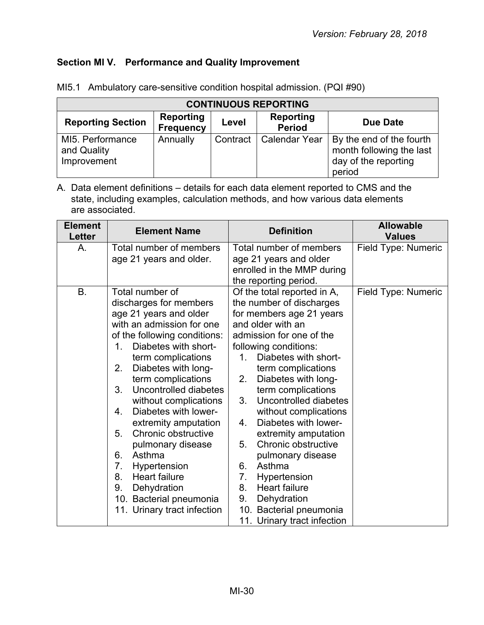# <span id="page-29-0"></span>**Section MI V. Performance and Quality Improvement**

| <b>CONTINUOUS REPORTING</b>                    |                                      |          |                                   |                                                                                        |  |  |
|------------------------------------------------|--------------------------------------|----------|-----------------------------------|----------------------------------------------------------------------------------------|--|--|
| <b>Reporting Section</b>                       | <b>Reporting</b><br><b>Frequency</b> | Level    | <b>Reporting</b><br><b>Period</b> | Due Date                                                                               |  |  |
| MI5. Performance<br>and Quality<br>Improvement | Annually                             | Contract | <b>Calendar Year</b>              | By the end of the fourth<br>month following the last<br>day of the reporting<br>period |  |  |

MI5.1 Ambulatory care-sensitive condition hospital admission. (PQI #90)

| <b>Element</b><br><b>Letter</b> | <b>Element Name</b>                                                                                                                                                                                                                                                                                                                                                                                                                                                                                                                                                         | <b>Definition</b>                                                                                                                                                                                                                                                                                                                                                                                                                                                                                                                                                                       | <b>Allowable</b><br><b>Values</b> |
|---------------------------------|-----------------------------------------------------------------------------------------------------------------------------------------------------------------------------------------------------------------------------------------------------------------------------------------------------------------------------------------------------------------------------------------------------------------------------------------------------------------------------------------------------------------------------------------------------------------------------|-----------------------------------------------------------------------------------------------------------------------------------------------------------------------------------------------------------------------------------------------------------------------------------------------------------------------------------------------------------------------------------------------------------------------------------------------------------------------------------------------------------------------------------------------------------------------------------------|-----------------------------------|
| Α.                              | Total number of members<br>age 21 years and older.                                                                                                                                                                                                                                                                                                                                                                                                                                                                                                                          | Total number of members<br>age 21 years and older<br>enrolled in the MMP during<br>the reporting period.                                                                                                                                                                                                                                                                                                                                                                                                                                                                                | Field Type: Numeric               |
| Β.                              | Total number of<br>discharges for members<br>age 21 years and older<br>with an admission for one<br>of the following conditions:<br>Diabetes with short-<br>$1_{-}$<br>term complications<br>Diabetes with long-<br>2.<br>term complications<br>3 <sub>1</sub><br>Uncontrolled diabetes<br>without complications<br>Diabetes with lower-<br>4.<br>extremity amputation<br>5.<br>Chronic obstructive<br>pulmonary disease<br>Asthma<br>6.<br>7.<br>Hypertension<br>8.<br><b>Heart failure</b><br>9.<br>Dehydration<br>10. Bacterial pneumonia<br>11. Urinary tract infection | Of the total reported in A,<br>the number of discharges<br>for members age 21 years<br>and older with an<br>admission for one of the<br>following conditions:<br>Diabetes with short-<br>1.<br>term complications<br>2.<br>Diabetes with long-<br>term complications<br>3.<br>Uncontrolled diabetes<br>without complications<br>Diabetes with lower-<br>4.<br>extremity amputation<br>Chronic obstructive<br>5.<br>pulmonary disease<br>6.<br>Asthma<br>7.<br>Hypertension<br><b>Heart failure</b><br>8.<br>9.<br>Dehydration<br>10. Bacterial pneumonia<br>11. Urinary tract infection | Field Type: Numeric               |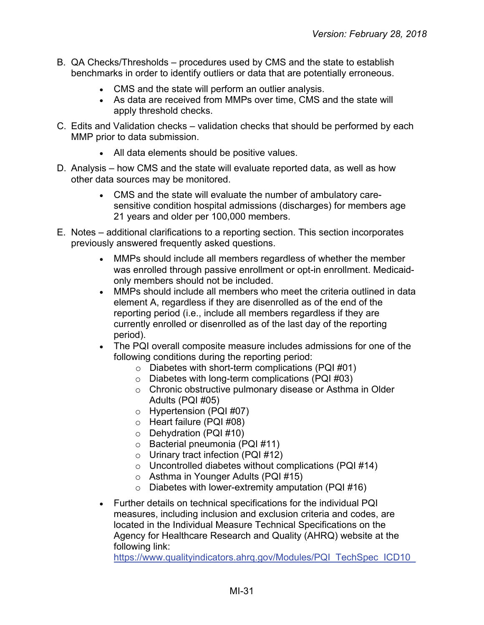- B. QA Checks/Thresholds procedures used by CMS and the state to establish benchmarks in order to identify outliers or data that are potentially erroneous.
	- CMS and the state will perform an outlier analysis.
	- As data are received from MMPs over time, CMS and the state will apply threshold checks.
- C. Edits and Validation checks validation checks that should be performed by each MMP prior to data submission.
	- All data elements should be positive values.
- D. Analysis how CMS and the state will evaluate reported data, as well as how other data sources may be monitored.
	- CMS and the state will evaluate the number of ambulatory caresensitive condition hospital admissions (discharges) for members age 21 years and older per 100,000 members.
- E. Notes additional clarifications to a reporting section. This section incorporates previously answered frequently asked questions.
	- MMPs should include all members regardless of whether the member was enrolled through passive enrollment or opt-in enrollment. Medicaidonly members should not be included.
	- MMPs should include all members who meet the criteria outlined in data element A, regardless if they are disenrolled as of the end of the reporting period (i.e., include all members regardless if they are currently enrolled or disenrolled as of the last day of the reporting period).
	- The PQI overall composite measure includes admissions for one of the following conditions during the reporting period:
		- $\circ$  Diabetes with short-term complications (PQI #01)
		- $\circ$  Diabetes with long-term complications (PQI #03)
		- o Chronic obstructive pulmonary disease or Asthma in Older Adults (PQI #05)
		- $\circ$  Hypertension (PQI #07)
		- o Heart failure (PQI #08)
		- o Dehydration (PQI #10)
		- o Bacterial pneumonia (PQI #11)
		- $\circ$  Urinary tract infection (PQI #12)
		- $\circ$  Uncontrolled diabetes without complications (PQI #14)
		- o Asthma in Younger Adults (PQI #15)
		- $\circ$  Diabetes with lower-extremity amputation (PQI #16)
	- Further details on technical specifications for the individual PQI measures, including inclusion and exclusion criteria and codes, are located in the Individual Measure Technical Specifications on the Agency for Healthcare Research and Quality (AHRQ) website at the following link:

https://www.qualityindicators.ahrq.gov/Modules/PQI\_TechSpec\_ICD10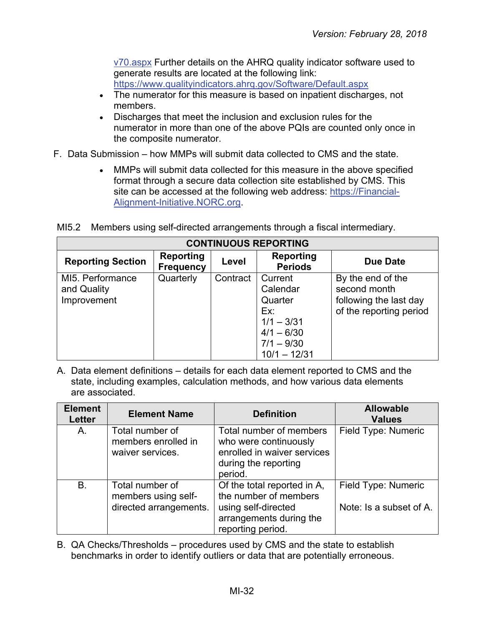[v70.aspx](https://www.qualityindicators.ahrq.gov/Modules/PQI_TechSpec_ICD10_v70.aspx) Further details on the AHRQ quality indicator software used to generate results are located at the following link:

<https://www.qualityindicators.ahrq.gov/Software/Default.aspx>

- The numerator for this measure is based on inpatient discharges, not members.
- Discharges that meet the inclusion and exclusion rules for the numerator in more than one of the above PQIs are counted only once in the composite numerator.
- F. Data Submission how MMPs will submit data collected to CMS and the state.
	- MMPs will submit data collected for this measure in the above specified format through a secure data collection site established by CMS. This site can be accessed at the following web address: [https://Financial-](https://financial-alignment-initiative.norc.org/)[Alignment-Initiative.NORC.org.](https://financial-alignment-initiative.norc.org/)

| <b>CONTINUOUS REPORTING</b>                    |                                      |          |                                                                                                         |                                                                                        |  |
|------------------------------------------------|--------------------------------------|----------|---------------------------------------------------------------------------------------------------------|----------------------------------------------------------------------------------------|--|
| <b>Reporting Section</b>                       | <b>Reporting</b><br><b>Frequency</b> | Level    | <b>Reporting</b><br><b>Periods</b>                                                                      | Due Date                                                                               |  |
| MI5. Performance<br>and Quality<br>Improvement | Quarterly                            | Contract | Current<br>Calendar<br>Quarter<br>Ex:<br>$1/1 - 3/31$<br>$4/1 - 6/30$<br>$7/1 - 9/30$<br>$10/1 - 12/31$ | By the end of the<br>second month<br>following the last day<br>of the reporting period |  |

MI5.2 Members using self-directed arrangements through a fiscal intermediary.

A. Data element definitions – details for each data element reported to CMS and the state, including examples, calculation methods, and how various data elements are associated.

| <b>Element</b><br><b>Letter</b> | <b>Element Name</b>                                              | <b>Definition</b>                                                                                                           | <b>Allowable</b><br><b>Values</b>              |
|---------------------------------|------------------------------------------------------------------|-----------------------------------------------------------------------------------------------------------------------------|------------------------------------------------|
| А.                              | Total number of<br>members enrolled in<br>waiver services.       | Total number of members<br>who were continuously<br>enrolled in waiver services<br>during the reporting<br>period.          | Field Type: Numeric                            |
| <b>B.</b>                       | Total number of<br>members using self-<br>directed arrangements. | Of the total reported in A,<br>the number of members<br>using self-directed<br>arrangements during the<br>reporting period. | Field Type: Numeric<br>Note: Is a subset of A. |

B. QA Checks/Thresholds – procedures used by CMS and the state to establish benchmarks in order to identify outliers or data that are potentially erroneous.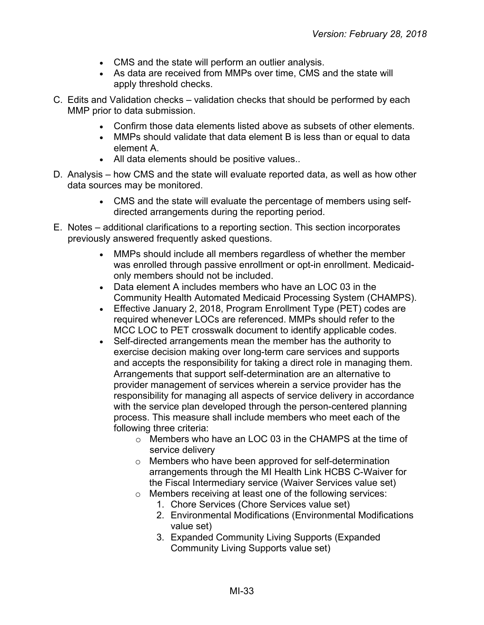- CMS and the state will perform an outlier analysis.
- As data are received from MMPs over time, CMS and the state will apply threshold checks.
- C. Edits and Validation checks validation checks that should be performed by each MMP prior to data submission.
	- Confirm those data elements listed above as subsets of other elements.
	- MMPs should validate that data element B is less than or equal to data element A.
	- All data elements should be positive values..
- D. Analysis how CMS and the state will evaluate reported data, as well as how other data sources may be monitored.
	- CMS and the state will evaluate the percentage of members using selfdirected arrangements during the reporting period.
- E. Notes additional clarifications to a reporting section. This section incorporates previously answered frequently asked questions.
	- MMPs should include all members regardless of whether the member was enrolled through passive enrollment or opt-in enrollment. Medicaidonly members should not be included.
	- Data element A includes members who have an LOC 03 in the Community Health Automated Medicaid Processing System (CHAMPS).
	- Effective January 2, 2018, Program Enrollment Type (PET) codes are required whenever LOCs are referenced. MMPs should refer to the MCC LOC to PET crosswalk document to identify applicable codes.
	- Self-directed arrangements mean the member has the authority to exercise decision making over long-term care services and supports and accepts the responsibility for taking a direct role in managing them. Arrangements that support self-determination are an alternative to provider management of services wherein a service provider has the responsibility for managing all aspects of service delivery in accordance with the service plan developed through the person-centered planning process. This measure shall include members who meet each of the following three criteria:
		- o Members who have an LOC 03 in the CHAMPS at the time of service delivery
		- o Members who have been approved for self-determination arrangements through the MI Health Link HCBS C-Waiver for the Fiscal Intermediary service (Waiver Services value set)
		- o Members receiving at least one of the following services:
			- 1. Chore Services (Chore Services value set)
			- 2. Environmental Modifications (Environmental Modifications value set)
			- 3. Expanded Community Living Supports (Expanded Community Living Supports value set)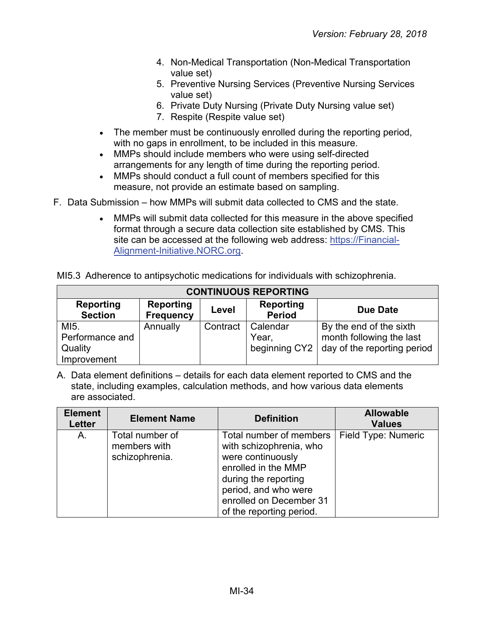- 4. Non-Medical Transportation (Non-Medical Transportation value set)
- 5. Preventive Nursing Services (Preventive Nursing Services value set)
- 6. Private Duty Nursing (Private Duty Nursing value set)
- 7. Respite (Respite value set)
- The member must be continuously enrolled during the reporting period, with no gaps in enrollment, to be included in this measure.
- MMPs should include members who were using self-directed arrangements for any length of time during the reporting period.
- MMPs should conduct a full count of members specified for this measure, not provide an estimate based on sampling.
- F. Data Submission how MMPs will submit data collected to CMS and the state.
	- MMPs will submit data collected for this measure in the above specified format through a secure data collection site established by CMS. This site can be accessed at the following web address: [https://Financial-](https://financial-alignment-initiative.norc.org/)[Alignment-Initiative.NORC.org.](https://financial-alignment-initiative.norc.org/)

|  |  |  |  |  | MI5.3 Adherence to antipsychotic medications for individuals with schizophrenia. |
|--|--|--|--|--|----------------------------------------------------------------------------------|
|--|--|--|--|--|----------------------------------------------------------------------------------|

| <b>CONTINUOUS REPORTING</b>                       |                                      |          |                            |                                                                                                    |  |
|---------------------------------------------------|--------------------------------------|----------|----------------------------|----------------------------------------------------------------------------------------------------|--|
| <b>Reporting</b><br><b>Section</b>                | <b>Reporting</b><br><b>Frequency</b> | Level    | Reporting<br><b>Period</b> | <b>Due Date</b>                                                                                    |  |
| MI5.<br>Performance and<br>Quality<br>Improvement | Annually                             | Contract | Calendar<br>Year,          | By the end of the sixth<br>month following the last<br>beginning CY2   day of the reporting period |  |

| <b>Element</b><br><b>Letter</b> | <b>Element Name</b>                               | <b>Definition</b>                                                                                                                                                                                     | <b>Allowable</b><br><b>Values</b> |
|---------------------------------|---------------------------------------------------|-------------------------------------------------------------------------------------------------------------------------------------------------------------------------------------------------------|-----------------------------------|
| Α.                              | Total number of<br>members with<br>schizophrenia. | Total number of members<br>with schizophrenia, who<br>were continuously<br>enrolled in the MMP<br>during the reporting<br>period, and who were<br>enrolled on December 31<br>of the reporting period. | Field Type: Numeric               |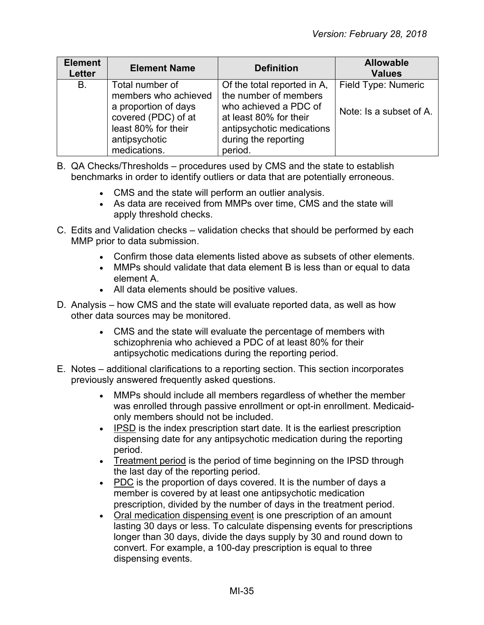| <b>Element</b><br><b>Letter</b> | <b>Element Name</b>                                                                                                                            | <b>Definition</b>                                                                                                                                                       | <b>Allowable</b><br><b>Values</b>              |
|---------------------------------|------------------------------------------------------------------------------------------------------------------------------------------------|-------------------------------------------------------------------------------------------------------------------------------------------------------------------------|------------------------------------------------|
| В.                              | Total number of<br>members who achieved<br>a proportion of days<br>covered (PDC) of at<br>least 80% for their<br>antipsychotic<br>medications. | Of the total reported in A,<br>the number of members<br>who achieved a PDC of<br>at least 80% for their<br>antipsychotic medications<br>during the reporting<br>period. | Field Type: Numeric<br>Note: Is a subset of A. |

- B. QA Checks/Thresholds procedures used by CMS and the state to establish benchmarks in order to identify outliers or data that are potentially erroneous.
	- CMS and the state will perform an outlier analysis.
	- As data are received from MMPs over time, CMS and the state will apply threshold checks.
- C. Edits and Validation checks validation checks that should be performed by each MMP prior to data submission.
	- Confirm those data elements listed above as subsets of other elements.
	- MMPs should validate that data element B is less than or equal to data element A.
	- All data elements should be positive values.
- D. Analysis how CMS and the state will evaluate reported data, as well as how other data sources may be monitored.
	- CMS and the state will evaluate the percentage of members with schizophrenia who achieved a PDC of at least 80% for their antipsychotic medications during the reporting period.
- E. Notes additional clarifications to a reporting section. This section incorporates previously answered frequently asked questions.
	- MMPs should include all members regardless of whether the member was enrolled through passive enrollment or opt-in enrollment. Medicaidonly members should not be included.
	- IPSD is the index prescription start date. It is the earliest prescription dispensing date for any antipsychotic medication during the reporting period.
	- Treatment period is the period of time beginning on the IPSD through the last day of the reporting period.
	- PDC is the proportion of days covered. It is the number of days a member is covered by at least one antipsychotic medication prescription, divided by the number of days in the treatment period.
	- Oral medication dispensing event is one prescription of an amount lasting 30 days or less. To calculate dispensing events for prescriptions longer than 30 days, divide the days supply by 30 and round down to convert. For example, a 100-day prescription is equal to three dispensing events.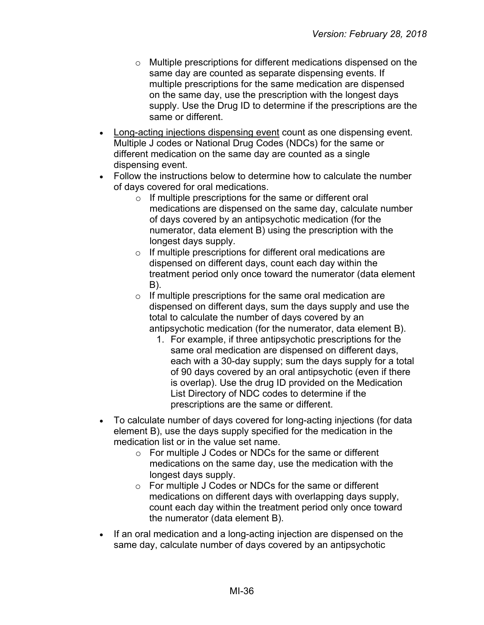- o Multiple prescriptions for different medications dispensed on the same day are counted as separate dispensing events. If multiple prescriptions for the same medication are dispensed on the same day, use the prescription with the longest days supply. Use the Drug ID to determine if the prescriptions are the same or different.
- Long-acting injections dispensing event count as one dispensing event. Multiple J codes or National Drug Codes (NDCs) for the same or different medication on the same day are counted as a single dispensing event.
- Follow the instructions below to determine how to calculate the number of days covered for oral medications.
	- $\circ$  If multiple prescriptions for the same or different oral medications are dispensed on the same day, calculate number of days covered by an antipsychotic medication (for the numerator, data element B) using the prescription with the longest days supply.
	- $\circ$  If multiple prescriptions for different oral medications are dispensed on different days, count each day within the treatment period only once toward the numerator (data element B).
	- $\circ$  If multiple prescriptions for the same oral medication are dispensed on different days, sum the days supply and use the total to calculate the number of days covered by an antipsychotic medication (for the numerator, data element B).
		- 1. For example, if three antipsychotic prescriptions for the same oral medication are dispensed on different days, each with a 30-day supply; sum the days supply for a total of 90 days covered by an oral antipsychotic (even if there is overlap). Use the drug ID provided on the Medication List Directory of NDC codes to determine if the prescriptions are the same or different.
- To calculate number of days covered for long-acting injections (for data element B), use the days supply specified for the medication in the medication list or in the value set name.
	- o For multiple J Codes or NDCs for the same or different medications on the same day, use the medication with the longest days supply.
	- o For multiple J Codes or NDCs for the same or different medications on different days with overlapping days supply, count each day within the treatment period only once toward the numerator (data element B).
- If an oral medication and a long-acting injection are dispensed on the same day, calculate number of days covered by an antipsychotic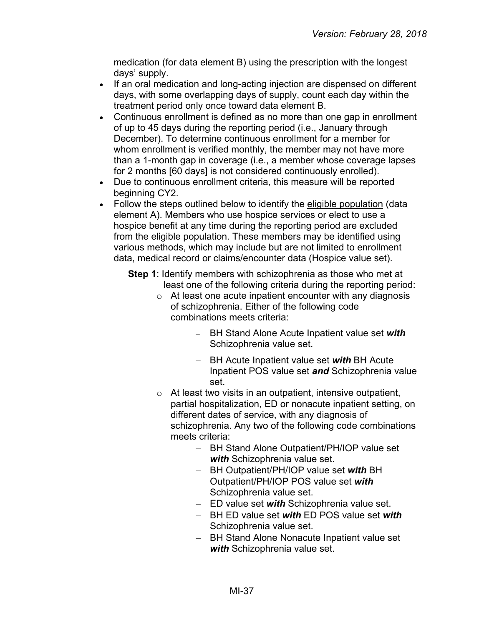medication (for data element B) using the prescription with the longest days' supply.

- If an oral medication and long-acting injection are dispensed on different days, with some overlapping days of supply, count each day within the treatment period only once toward data element B.
- Continuous enrollment is defined as no more than one gap in enrollment of up to 45 days during the reporting period (i.e., January through December). To determine continuous enrollment for a member for whom enrollment is verified monthly, the member may not have more than a 1-month gap in coverage (i.e., a member whose coverage lapses for 2 months [60 days] is not considered continuously enrolled).
- Due to continuous enrollment criteria, this measure will be reported beginning CY2.
- Follow the steps outlined below to identify the eligible population (data element A). Members who use hospice services or elect to use a hospice benefit at any time during the reporting period are excluded from the eligible population. These members may be identified using various methods, which may include but are not limited to enrollment data, medical record or claims/encounter data (Hospice value set).
	- **Step 1**: Identify members with schizophrenia as those who met at least one of the following criteria during the reporting period:
		- $\circ$  At least one acute inpatient encounter with any diagnosis of schizophrenia. Either of the following code combinations meets criteria:
			- − BH Stand Alone Acute Inpatient value set *with*  Schizophrenia value set.
			- − BH Acute Inpatient value set *with* BH Acute Inpatient POS value set *and* Schizophrenia value set.
		- $\circ$  At least two visits in an outpatient, intensive outpatient, partial hospitalization, ED or nonacute inpatient setting, on different dates of service, with any diagnosis of schizophrenia. Any two of the following code combinations meets criteria:
			- − BH Stand Alone Outpatient/PH/IOP value set *with* Schizophrenia value set.
			- − BH Outpatient/PH/IOP value set *with* BH Outpatient/PH/IOP POS value set *with* Schizophrenia value set.
			- − ED value set *with* Schizophrenia value set.
			- − BH ED value set *with* ED POS value set *with* Schizophrenia value set.
			- − BH Stand Alone Nonacute Inpatient value set *with* Schizophrenia value set.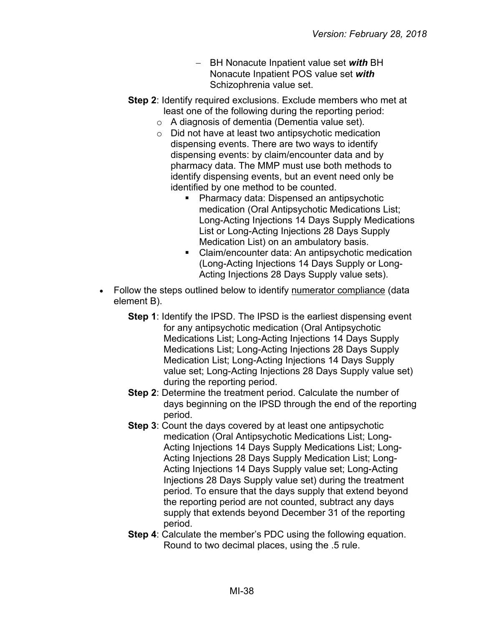- − BH Nonacute Inpatient value set *with* BH Nonacute Inpatient POS value set *with* Schizophrenia value set.
- **Step 2**: Identify required exclusions. Exclude members who met at least one of the following during the reporting period:
	- o A diagnosis of dementia (Dementia value set).
	- o Did not have at least two antipsychotic medication dispensing events. There are two ways to identify dispensing events: by claim/encounter data and by pharmacy data. The MMP must use both methods to identify dispensing events, but an event need only be identified by one method to be counted.
		- Pharmacy data: Dispensed an antipsychotic medication (Oral Antipsychotic Medications List; Long-Acting Injections 14 Days Supply Medications List or Long-Acting Injections 28 Days Supply Medication List) on an ambulatory basis.
		- Claim/encounter data: An antipsychotic medication (Long-Acting Injections 14 Days Supply or Long-Acting Injections 28 Days Supply value sets).
- Follow the steps outlined below to identify numerator compliance (data element B).
	- **Step 1**: Identify the IPSD. The IPSD is the earliest dispensing event for any antipsychotic medication (Oral Antipsychotic Medications List; Long-Acting Injections 14 Days Supply Medications List; Long-Acting Injections 28 Days Supply Medication List; Long-Acting Injections 14 Days Supply value set; Long-Acting Injections 28 Days Supply value set) during the reporting period.
	- **Step 2**: Determine the treatment period. Calculate the number of days beginning on the IPSD through the end of the reporting period.
	- **Step 3**: Count the days covered by at least one antipsychotic medication (Oral Antipsychotic Medications List; Long-Acting Injections 14 Days Supply Medications List; Long-Acting Injections 28 Days Supply Medication List; Long-Acting Injections 14 Days Supply value set; Long-Acting Injections 28 Days Supply value set) during the treatment period. To ensure that the days supply that extend beyond the reporting period are not counted, subtract any days supply that extends beyond December 31 of the reporting period.
	- **Step 4**: Calculate the member's PDC using the following equation. Round to two decimal places, using the .5 rule.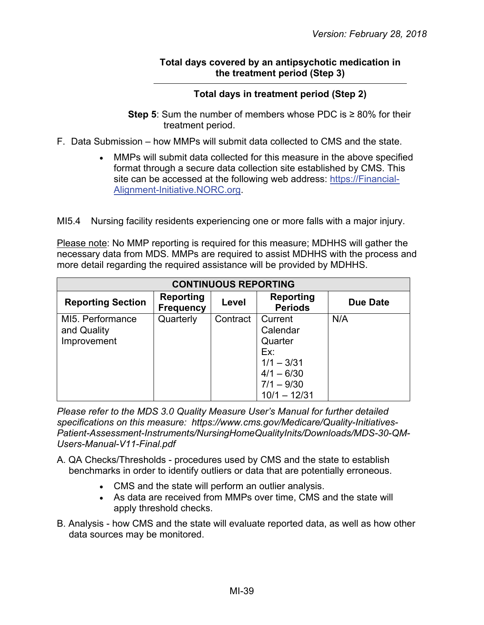#### **Total days covered by an antipsychotic medication in the treatment period (Step 3)**

### **Total days in treatment period (Step 2)**

- **Step 5**: Sum the number of members whose PDC is ≥ 80% for their treatment period.
- F. Data Submission how MMPs will submit data collected to CMS and the state.
	- MMPs will submit data collected for this measure in the above specified format through a secure data collection site established by CMS. This site can be accessed at the following web address: [https://Financial-](https://financial-alignment-initiative.norc.org/)[Alignment-Initiative.NORC.org.](https://financial-alignment-initiative.norc.org/)

MI5.4 Nursing facility residents experiencing one or more falls with a major injury.

Please note: No MMP reporting is required for this measure; MDHHS will gather the necessary data from MDS. MMPs are required to assist MDHHS with the process and more detail regarding the required assistance will be provided by MDHHS.

| <b>CONTINUOUS REPORTING</b>                    |                               |          |                                                                                                         |          |  |
|------------------------------------------------|-------------------------------|----------|---------------------------------------------------------------------------------------------------------|----------|--|
| <b>Reporting Section</b>                       | Reporting<br><b>Frequency</b> | Level    | <b>Reporting</b><br><b>Periods</b>                                                                      | Due Date |  |
| MI5. Performance<br>and Quality<br>Improvement | Quarterly                     | Contract | Current<br>Calendar<br>Quarter<br>Ex:<br>$1/1 - 3/31$<br>$4/1 - 6/30$<br>$7/1 - 9/30$<br>$10/1 - 12/31$ | N/A      |  |

*Please refer to the MDS 3.0 Quality Measure User's Manual for further detailed specifications on this measure: https://www.cms.gov/Medicare/Quality-Initiatives-Patient-Assessment-Instruments/NursingHomeQualityInits/Downloads/MDS-30-QM-Users-Manual-V11-Final.pdf*

- A. QA Checks/Thresholds procedures used by CMS and the state to establish benchmarks in order to identify outliers or data that are potentially erroneous.
	- CMS and the state will perform an outlier analysis.
	- As data are received from MMPs over time, CMS and the state will apply threshold checks.
- B. Analysis how CMS and the state will evaluate reported data, as well as how other data sources may be monitored.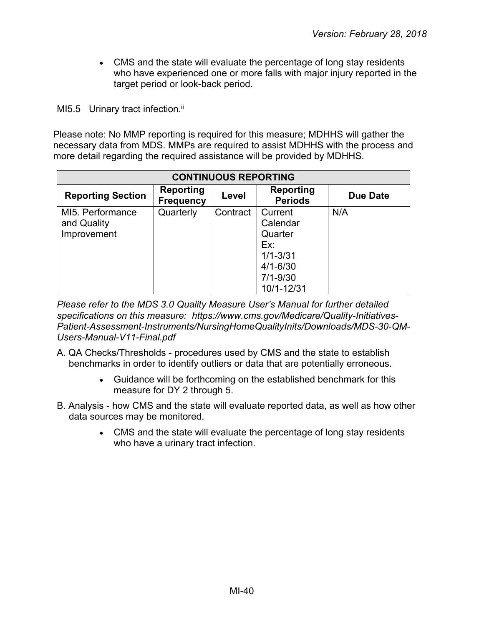• CMS and the state will evaluate the percentage of long stay residents who have experienced one or more falls with major injury reported in the target period or look-back period.

MI5.5 Urinary tract infection.<sup>ii</sup>

Please note: No MMP reporting is required for this measure; MDHHS will gather the necessary data from MDS. MMPs are required to assist MDHHS with the process and more detail regarding the required assistance will be provided by MDHHS.

| <b>CONTINUOUS REPORTING</b> |                               |          |                             |          |  |
|-----------------------------|-------------------------------|----------|-----------------------------|----------|--|
| <b>Reporting Section</b>    | Reporting<br><b>Frequency</b> | Level    | Reporting<br><b>Periods</b> | Due Date |  |
| MI5. Performance            | Quarterly                     | Contract | Current                     | N/A      |  |
| and Quality                 |                               |          | Calendar                    |          |  |
| Improvement                 |                               |          | Quarter                     |          |  |
|                             |                               |          | Ex:                         |          |  |
|                             |                               |          | $1/1 - 3/31$                |          |  |
|                             |                               |          | $4/1 - 6/30$                |          |  |
|                             |                               |          | $7/1 - 9/30$                |          |  |
|                             |                               |          | 10/1-12/31                  |          |  |

*Please refer to the MDS 3.0 Quality Measure User's Manual for further detailed specifications on this measure: https://www.cms.gov/Medicare/Quality-Initiatives-Patient-Assessment-Instruments/NursingHomeQualityInits/Downloads/MDS-30-QM-Users-Manual-V11-Final.pdf*

- A. QA Checks/Thresholds procedures used by CMS and the state to establish benchmarks in order to identify outliers or data that are potentially erroneous.
	- Guidance will be forthcoming on the established benchmark for this measure for DY 2 through 5.
- B. Analysis how CMS and the state will evaluate reported data, as well as how other data sources may be monitored.
	- CMS and the state will evaluate the percentage of long stay residents who have a urinary tract infection.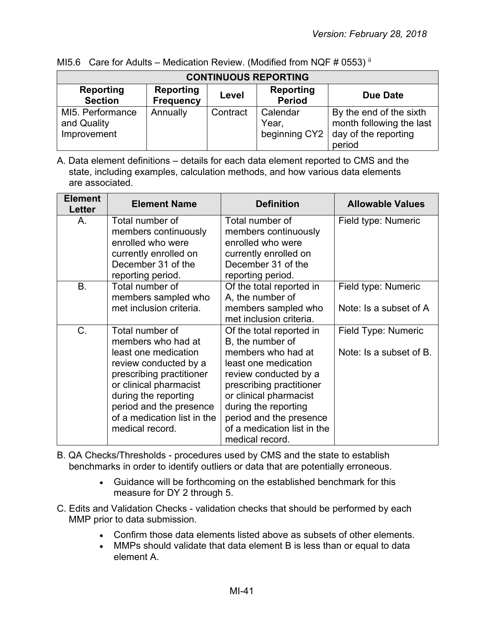| <b>CONTINUOUS REPORTING</b>                    |                                      |          |                                    |                                                                                       |  |
|------------------------------------------------|--------------------------------------|----------|------------------------------------|---------------------------------------------------------------------------------------|--|
| Reporting<br><b>Section</b>                    | <b>Reporting</b><br><b>Frequency</b> | Level    | Reporting<br><b>Period</b>         | Due Date                                                                              |  |
| MI5. Performance<br>and Quality<br>Improvement | Annually                             | Contract | Calendar<br>Year,<br>beginning CY2 | By the end of the sixth<br>month following the last<br>day of the reporting<br>period |  |

MI5.6 Care for Adults – Medication Review. (Modified from NQF # 0553) ii

| <b>Element</b><br>Letter | <b>Element Name</b>                                                                                                                                                                                                                               | <b>Definition</b>                                                                                                                                                                                                                                                              | <b>Allowable Values</b>                        |
|--------------------------|---------------------------------------------------------------------------------------------------------------------------------------------------------------------------------------------------------------------------------------------------|--------------------------------------------------------------------------------------------------------------------------------------------------------------------------------------------------------------------------------------------------------------------------------|------------------------------------------------|
| A.                       | Total number of<br>members continuously<br>enrolled who were<br>currently enrolled on<br>December 31 of the<br>reporting period.                                                                                                                  | Total number of<br>members continuously<br>enrolled who were<br>currently enrolled on<br>December 31 of the<br>reporting period.                                                                                                                                               | Field type: Numeric                            |
| B.                       | Total number of<br>members sampled who<br>met inclusion criteria.                                                                                                                                                                                 | Of the total reported in<br>A, the number of<br>members sampled who<br>met inclusion criteria.                                                                                                                                                                                 | Field type: Numeric<br>Note: Is a subset of A  |
| C.                       | Total number of<br>members who had at<br>least one medication<br>review conducted by a<br>prescribing practitioner<br>or clinical pharmacist<br>during the reporting<br>period and the presence<br>of a medication list in the<br>medical record. | Of the total reported in<br>B, the number of<br>members who had at<br>least one medication<br>review conducted by a<br>prescribing practitioner<br>or clinical pharmacist<br>during the reporting<br>period and the presence<br>of a medication list in the<br>medical record. | Field Type: Numeric<br>Note: Is a subset of B. |

- B. QA Checks/Thresholds procedures used by CMS and the state to establish benchmarks in order to identify outliers or data that are potentially erroneous.
	- Guidance will be forthcoming on the established benchmark for this measure for DY 2 through 5.
- C. Edits and Validation Checks validation checks that should be performed by each MMP prior to data submission.
	- Confirm those data elements listed above as subsets of other elements.
	- MMPs should validate that data element B is less than or equal to data element A.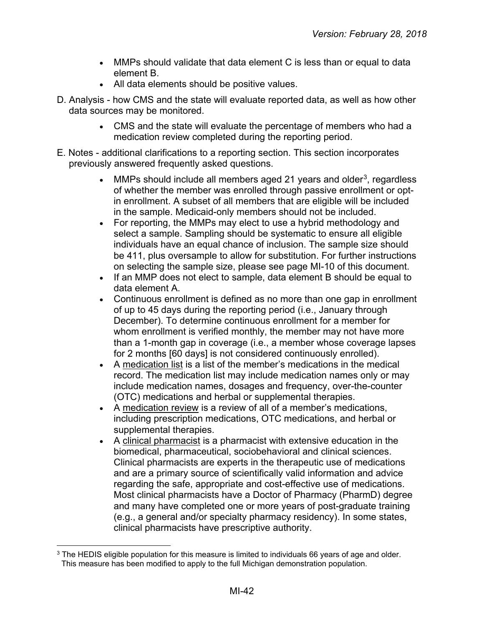- MMPs should validate that data element C is less than or equal to data element B.
- All data elements should be positive values.
- D. Analysis how CMS and the state will evaluate reported data, as well as how other data sources may be monitored.
	- CMS and the state will evaluate the percentage of members who had a medication review completed during the reporting period.
- E. Notes additional clarifications to a reporting section. This section incorporates previously answered frequently asked questions.
	- MMPs should include all members aged 21 years and older<sup>[3](#page-41-0)</sup>, regardless of whether the member was enrolled through passive enrollment or optin enrollment. A subset of all members that are eligible will be included in the sample. Medicaid-only members should not be included.
	- For reporting, the MMPs may elect to use a hybrid methodology and select a sample. Sampling should be systematic to ensure all eligible individuals have an equal chance of inclusion. The sample size should be 411, plus oversample to allow for substitution. For further instructions on selecting the sample size, please see page MI-10 of this document.
	- If an MMP does not elect to sample, data element B should be equal to data element A.
	- Continuous enrollment is defined as no more than one gap in enrollment of up to 45 days during the reporting period (i.e., January through December). To determine continuous enrollment for a member for whom enrollment is verified monthly, the member may not have more than a 1-month gap in coverage (i.e., a member whose coverage lapses for 2 months [60 days] is not considered continuously enrolled).
	- A medication list is a list of the member's medications in the medical record. The medication list may include medication names only or may include medication names, dosages and frequency, over-the-counter (OTC) medications and herbal or supplemental therapies.
	- A medication review is a review of all of a member's medications, including prescription medications, OTC medications, and herbal or supplemental therapies.
	- A clinical pharmacist is a pharmacist with extensive education in the biomedical, pharmaceutical, sociobehavioral and clinical sciences. Clinical pharmacists are experts in the therapeutic use of medications and are a primary source of scientifically valid information and advice regarding the safe, appropriate and cost-effective use of medications. Most clinical pharmacists have a Doctor of Pharmacy (PharmD) degree and many have completed one or more years of post-graduate training (e.g., a general and/or specialty pharmacy residency). In some states, clinical pharmacists have prescriptive authority.

<span id="page-41-0"></span> $\overline{a}$ <sup>3</sup> The HEDIS eligible population for this measure is limited to individuals 66 years of age and older. This measure has been modified to apply to the full Michigan demonstration population.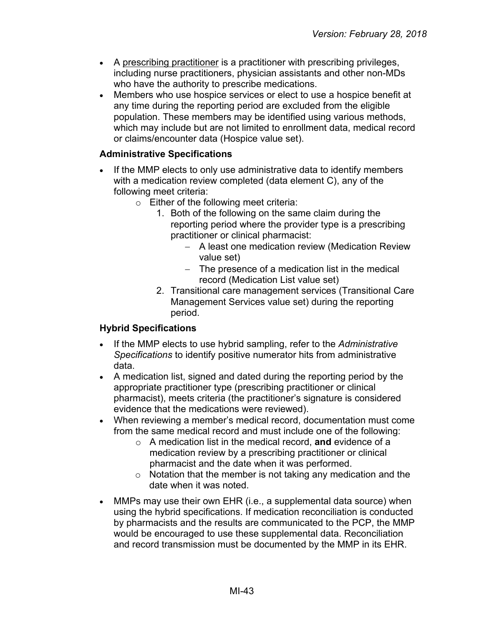- A prescribing practitioner is a practitioner with prescribing privileges, including nurse practitioners, physician assistants and other non-MDs who have the authority to prescribe medications.
- Members who use hospice services or elect to use a hospice benefit at any time during the reporting period are excluded from the eligible population. These members may be identified using various methods, which may include but are not limited to enrollment data, medical record or claims/encounter data (Hospice value set).

## **Administrative Specifications**

- If the MMP elects to only use administrative data to identify members with a medication review completed (data element C), any of the following meet criteria:
	- o Either of the following meet criteria:
		- 1. Both of the following on the same claim during the reporting period where the provider type is a prescribing practitioner or clinical pharmacist:
			- − A least one medication review (Medication Review value set)
			- − The presence of a medication list in the medical record (Medication List value set)
		- 2. Transitional care management services (Transitional Care Management Services value set) during the reporting period.

## **Hybrid Specifications**

- If the MMP elects to use hybrid sampling, refer to the *Administrative Specifications* to identify positive numerator hits from administrative data.
- A medication list, signed and dated during the reporting period by the appropriate practitioner type (prescribing practitioner or clinical pharmacist), meets criteria (the practitioner's signature is considered evidence that the medications were reviewed).
- When reviewing a member's medical record, documentation must come from the same medical record and must include one of the following:
	- o A medication list in the medical record, **and** evidence of a medication review by a prescribing practitioner or clinical pharmacist and the date when it was performed.
	- $\circ$  Notation that the member is not taking any medication and the date when it was noted.
- MMPs may use their own EHR (i.e., a supplemental data source) when using the hybrid specifications. If medication reconciliation is conducted by pharmacists and the results are communicated to the PCP, the MMP would be encouraged to use these supplemental data. Reconciliation and record transmission must be documented by the MMP in its EHR.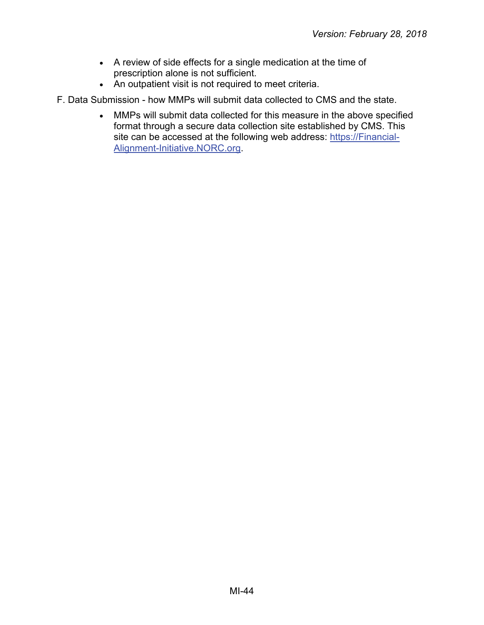- A review of side effects for a single medication at the time of prescription alone is not sufficient.
- An outpatient visit is not required to meet criteria.

F. Data Submission - how MMPs will submit data collected to CMS and the state.

• MMPs will submit data collected for this measure in the above specified format through a secure data collection site established by CMS. This site can be accessed at the following web address: [https://Financial-](https://financial-alignment-initiative.norc.org/)[Alignment-Initiative.NORC.org.](https://financial-alignment-initiative.norc.org/)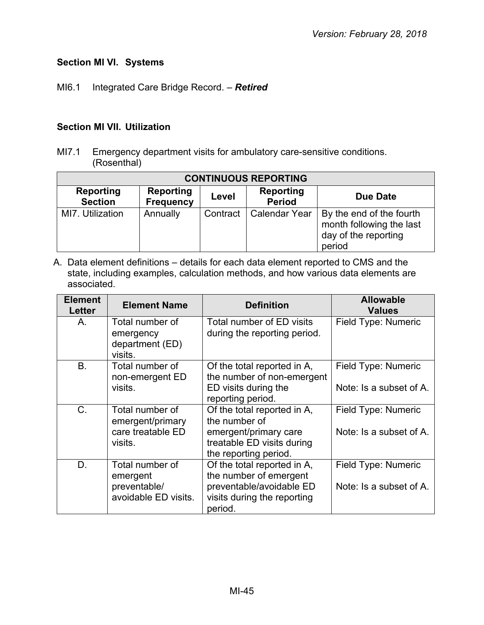# <span id="page-44-0"></span>**Section MI VI. Systems**

## <span id="page-44-1"></span>MI6.1 Integrated Care Bridge Record. – *Retired*

## **Section MI VII. Utilization**

MI7.1 Emergency department visits for ambulatory care-sensitive conditions. (Rosenthal)

| <b>CONTINUOUS REPORTING</b>        |                               |          |                            |                                                                                        |  |  |
|------------------------------------|-------------------------------|----------|----------------------------|----------------------------------------------------------------------------------------|--|--|
| <b>Reporting</b><br><b>Section</b> | Reporting<br><b>Frequency</b> | Level    | Reporting<br><b>Period</b> | Due Date                                                                               |  |  |
| MI7. Utilization                   | Annually                      | Contract | <b>Calendar Year</b>       | By the end of the fourth<br>month following the last<br>day of the reporting<br>period |  |  |

| <b>Element</b><br><b>Letter</b> | <b>Element Name</b>                                                 | <b>Definition</b>                                                                                                            | <b>Allowable</b><br><b>Values</b>              |
|---------------------------------|---------------------------------------------------------------------|------------------------------------------------------------------------------------------------------------------------------|------------------------------------------------|
| A.                              | Total number of<br>emergency<br>department (ED)<br>visits.          | Total number of ED visits<br>during the reporting period.                                                                    | Field Type: Numeric                            |
| <b>B.</b>                       | Total number of<br>non-emergent ED<br>visits.                       | Of the total reported in A,<br>the number of non-emergent<br>ED visits during the<br>reporting period.                       | Field Type: Numeric<br>Note: Is a subset of A. |
| C.                              | Total number of<br>emergent/primary<br>care treatable ED<br>visits. | Of the total reported in A,<br>the number of<br>emergent/primary care<br>treatable ED visits during<br>the reporting period. | Field Type: Numeric<br>Note: Is a subset of A. |
| D.                              | Total number of<br>emergent<br>preventable/<br>avoidable ED visits. | Of the total reported in A,<br>the number of emergent<br>preventable/avoidable ED<br>visits during the reporting<br>period.  | Field Type: Numeric<br>Note: Is a subset of A. |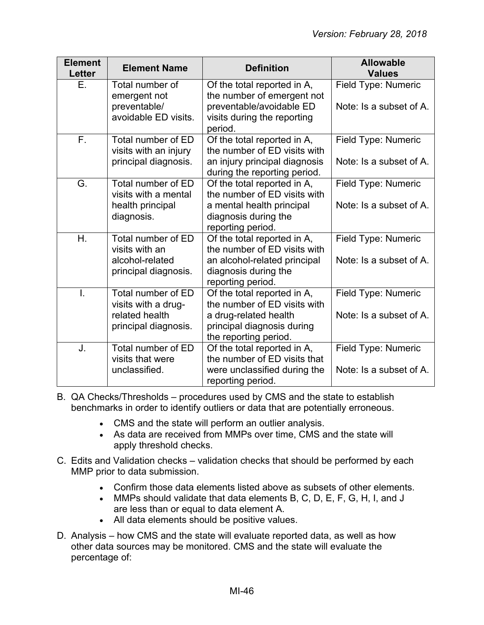| <b>Element</b><br><b>Letter</b> | <b>Element Name</b>                             | <b>Definition</b>                                                                     | <b>Allowable</b><br><b>Values</b>              |
|---------------------------------|-------------------------------------------------|---------------------------------------------------------------------------------------|------------------------------------------------|
| Е.                              | Total number of<br>emergent not<br>preventable/ | Of the total reported in A,<br>the number of emergent not<br>preventable/avoidable ED | Field Type: Numeric<br>Note: Is a subset of A. |
|                                 | avoidable ED visits.                            | visits during the reporting<br>period.                                                |                                                |
| F.                              | Total number of ED<br>visits with an injury     | Of the total reported in A,<br>the number of ED visits with                           | Field Type: Numeric                            |
|                                 | principal diagnosis.                            | an injury principal diagnosis<br>during the reporting period.                         | Note: Is a subset of A.                        |
| G.                              | Total number of ED<br>visits with a mental      | Of the total reported in A,<br>the number of ED visits with                           | Field Type: Numeric                            |
|                                 | health principal<br>diagnosis.                  | a mental health principal<br>diagnosis during the<br>reporting period.                | Note: Is a subset of A.                        |
| Η.                              | Total number of ED<br>visits with an            | Of the total reported in A,<br>the number of ED visits with                           | Field Type: Numeric                            |
|                                 | alcohol-related<br>principal diagnosis.         | an alcohol-related principal<br>diagnosis during the<br>reporting period.             | Note: Is a subset of A.                        |
| I.                              | Total number of ED<br>visits with a drug-       | Of the total reported in A,<br>the number of ED visits with                           | Field Type: Numeric                            |
|                                 | related health<br>principal diagnosis.          | a drug-related health<br>principal diagnosis during<br>the reporting period.          | Note: Is a subset of A.                        |
| J.                              | Total number of ED<br>visits that were          | Of the total reported in A,<br>the number of ED visits that                           | Field Type: Numeric                            |
|                                 | unclassified.                                   | were unclassified during the<br>reporting period.                                     | Note: Is a subset of A.                        |

- B. QA Checks/Thresholds procedures used by CMS and the state to establish benchmarks in order to identify outliers or data that are potentially erroneous.
	- CMS and the state will perform an outlier analysis.
	- As data are received from MMPs over time, CMS and the state will apply threshold checks.
- C. Edits and Validation checks validation checks that should be performed by each MMP prior to data submission.
	- Confirm those data elements listed above as subsets of other elements.
	- MMPs should validate that data elements B, C, D, E, F, G, H, I, and J are less than or equal to data element A.
	- All data elements should be positive values.
- D. Analysis how CMS and the state will evaluate reported data, as well as how other data sources may be monitored. CMS and the state will evaluate the percentage of: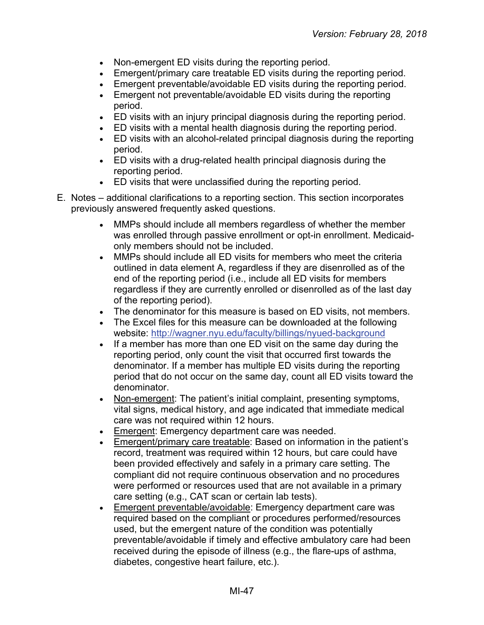- Non-emergent ED visits during the reporting period.
- Emergent/primary care treatable ED visits during the reporting period.
- Emergent preventable/avoidable ED visits during the reporting period.
- Emergent not preventable/avoidable ED visits during the reporting period.
- ED visits with an injury principal diagnosis during the reporting period.
- ED visits with a mental health diagnosis during the reporting period.
- ED visits with an alcohol-related principal diagnosis during the reporting period.
- ED visits with a drug-related health principal diagnosis during the reporting period.
- ED visits that were unclassified during the reporting period.
- E. Notes additional clarifications to a reporting section. This section incorporates previously answered frequently asked questions.
	- MMPs should include all members regardless of whether the member was enrolled through passive enrollment or opt-in enrollment. Medicaidonly members should not be included.
	- MMPs should include all ED visits for members who meet the criteria outlined in data element A, regardless if they are disenrolled as of the end of the reporting period (i.e., include all ED visits for members regardless if they are currently enrolled or disenrolled as of the last day of the reporting period).
	- The denominator for this measure is based on ED visits, not members.
	- The Excel files for this measure can be downloaded at the following website:<http://wagner.nyu.edu/faculty/billings/nyued-background>
	- If a member has more than one ED visit on the same day during the reporting period, only count the visit that occurred first towards the denominator. If a member has multiple ED visits during the reporting period that do not occur on the same day, count all ED visits toward the denominator.
	- Non-emergent: The patient's initial complaint, presenting symptoms, vital signs, medical history, and age indicated that immediate medical care was not required within 12 hours.
	- Emergent: Emergency department care was needed.
	- Emergent/primary care treatable: Based on information in the patient's record, treatment was required within 12 hours, but care could have been provided effectively and safely in a primary care setting. The compliant did not require continuous observation and no procedures were performed or resources used that are not available in a primary care setting (e.g., CAT scan or certain lab tests).
	- Emergent preventable/avoidable: Emergency department care was required based on the compliant or procedures performed/resources used, but the emergent nature of the condition was potentially preventable/avoidable if timely and effective ambulatory care had been received during the episode of illness (e.g., the flare-ups of asthma, diabetes, congestive heart failure, etc.).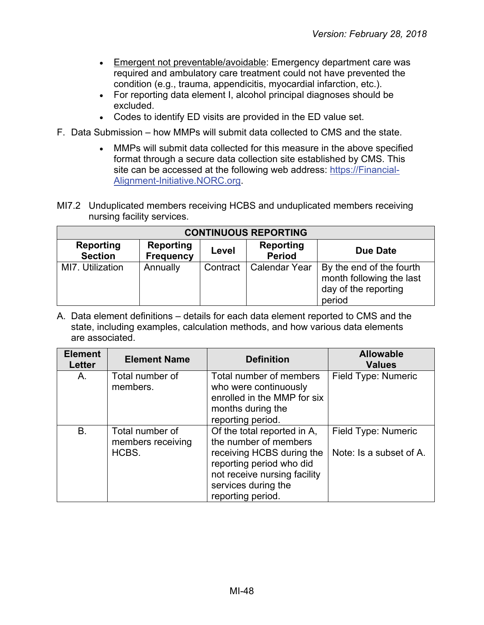- Emergent not preventable/avoidable: Emergency department care was required and ambulatory care treatment could not have prevented the condition (e.g., trauma, appendicitis, myocardial infarction, etc.).
- For reporting data element I, alcohol principal diagnoses should be excluded.
- Codes to identify ED visits are provided in the ED value set.
- F. Data Submission how MMPs will submit data collected to CMS and the state.
	- MMPs will submit data collected for this measure in the above specified format through a secure data collection site established by CMS. This site can be accessed at the following web address: [https://Financial-](https://financial-alignment-initiative.norc.org/)[Alignment-Initiative.NORC.org.](https://financial-alignment-initiative.norc.org/)
- MI7.2 Unduplicated members receiving HCBS and unduplicated members receiving nursing facility services.

| <b>CONTINUOUS REPORTING</b>        |                                      |          |                            |                                                                                        |  |
|------------------------------------|--------------------------------------|----------|----------------------------|----------------------------------------------------------------------------------------|--|
| <b>Reporting</b><br><b>Section</b> | <b>Reporting</b><br><b>Frequency</b> | Level    | Reporting<br><b>Period</b> | Due Date                                                                               |  |
| MI7. Utilization                   | Annually                             | Contract | <b>Calendar Year</b>       | By the end of the fourth<br>month following the last<br>day of the reporting<br>period |  |

| <b>Element</b><br><b>Letter</b> | <b>Element Name</b>                           | <b>Definition</b>                                                                                                                                                                         | <b>Allowable</b><br><b>Values</b>              |
|---------------------------------|-----------------------------------------------|-------------------------------------------------------------------------------------------------------------------------------------------------------------------------------------------|------------------------------------------------|
| Α.                              | Total number of<br>members.                   | Total number of members<br>who were continuously<br>enrolled in the MMP for six<br>months during the<br>reporting period.                                                                 | Field Type: Numeric                            |
| <b>B.</b>                       | Total number of<br>members receiving<br>HCBS. | Of the total reported in A,<br>the number of members<br>receiving HCBS during the<br>reporting period who did<br>not receive nursing facility<br>services during the<br>reporting period. | Field Type: Numeric<br>Note: Is a subset of A. |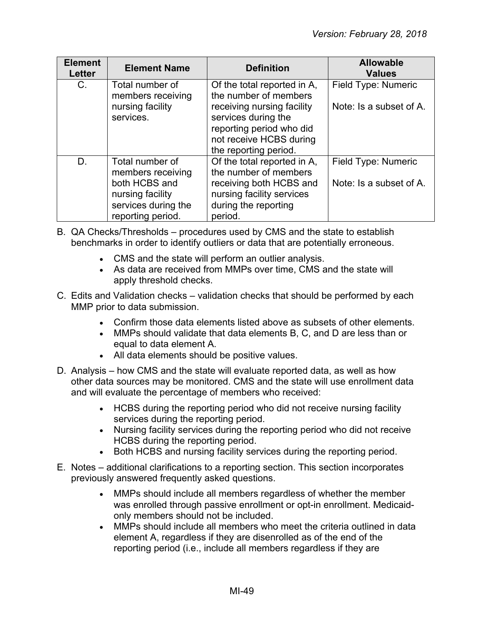| <b>Element</b><br><b>Letter</b> | <b>Element Name</b>                                                                              | <b>Definition</b>                                                                                                                    | <b>Allowable</b><br><b>Values</b>              |
|---------------------------------|--------------------------------------------------------------------------------------------------|--------------------------------------------------------------------------------------------------------------------------------------|------------------------------------------------|
| C.                              | Total number of<br>members receiving                                                             | Of the total reported in A,<br>the number of members                                                                                 | Field Type: Numeric                            |
|                                 | nursing facility<br>services.                                                                    | receiving nursing facility<br>services during the<br>reporting period who did<br>not receive HCBS during<br>the reporting period.    | Note: Is a subset of A.                        |
| D.                              | Total number of<br>members receiving<br>both HCBS and<br>nursing facility<br>services during the | Of the total reported in A,<br>the number of members<br>receiving both HCBS and<br>nursing facility services<br>during the reporting | Field Type: Numeric<br>Note: Is a subset of A. |
|                                 | reporting period.                                                                                | period.                                                                                                                              |                                                |

- B. QA Checks/Thresholds procedures used by CMS and the state to establish benchmarks in order to identify outliers or data that are potentially erroneous.
	- CMS and the state will perform an outlier analysis.
	- As data are received from MMPs over time, CMS and the state will apply threshold checks.
- C. Edits and Validation checks validation checks that should be performed by each MMP prior to data submission.
	- Confirm those data elements listed above as subsets of other elements.
	- MMPs should validate that data elements B, C, and D are less than or equal to data element A.
	- All data elements should be positive values.
- D. Analysis how CMS and the state will evaluate reported data, as well as how other data sources may be monitored. CMS and the state will use enrollment data and will evaluate the percentage of members who received:
	- HCBS during the reporting period who did not receive nursing facility services during the reporting period.
	- Nursing facility services during the reporting period who did not receive HCBS during the reporting period.
	- Both HCBS and nursing facility services during the reporting period.
- E. Notes additional clarifications to a reporting section. This section incorporates previously answered frequently asked questions.
	- MMPs should include all members regardless of whether the member was enrolled through passive enrollment or opt-in enrollment. Medicaidonly members should not be included.
	- MMPs should include all members who meet the criteria outlined in data element A, regardless if they are disenrolled as of the end of the reporting period (i.e., include all members regardless if they are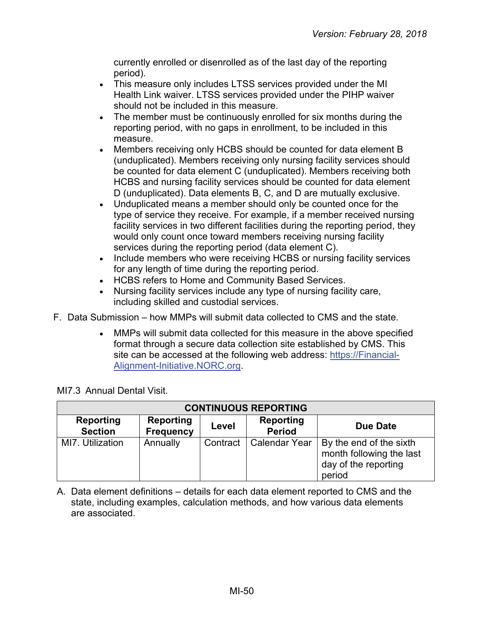currently enrolled or disenrolled as of the last day of the reporting period).

- This measure only includes LTSS services provided under the MI Health Link waiver. LTSS services provided under the PIHP waiver should not be included in this measure.
- The member must be continuously enrolled for six months during the reporting period, with no gaps in enrollment, to be included in this measure.
- Members receiving only HCBS should be counted for data element B (unduplicated). Members receiving only nursing facility services should be counted for data element C (unduplicated). Members receiving both HCBS and nursing facility services should be counted for data element D (unduplicated). Data elements B, C, and D are mutually exclusive.
- Unduplicated means a member should only be counted once for the type of service they receive. For example, if a member received nursing facility services in two different facilities during the reporting period, they would only count once toward members receiving nursing facility services during the reporting period (data element C).
- Include members who were receiving HCBS or nursing facility services for any length of time during the reporting period.
- HCBS refers to Home and Community Based Services.
- Nursing facility services include any type of nursing facility care, including skilled and custodial services.
- F. Data Submission how MMPs will submit data collected to CMS and the state.
	- MMPs will submit data collected for this measure in the above specified format through a secure data collection site established by CMS. This site can be accessed at the following web address: [https://Financial-](https://financial-alignment-initiative.norc.org/)[Alignment-Initiative.NORC.org.](https://financial-alignment-initiative.norc.org/)

MI7.3 Annual Dental Visit.

| <b>CONTINUOUS REPORTING</b>        |                               |          |                                   |                                                                                       |  |
|------------------------------------|-------------------------------|----------|-----------------------------------|---------------------------------------------------------------------------------------|--|
| <b>Reporting</b><br><b>Section</b> | Reporting<br><b>Frequency</b> | Level    | <b>Reporting</b><br><b>Period</b> | Due Date                                                                              |  |
| MI7. Utilization                   | Annually                      | Contract | <b>Calendar Year</b>              | By the end of the sixth<br>month following the last<br>day of the reporting<br>period |  |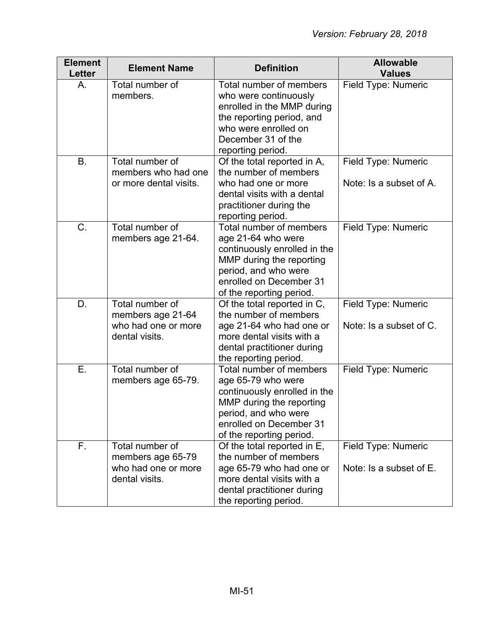| <b>Element</b><br><b>Letter</b> | <b>Element Name</b>                                                           | <b>Definition</b>                                                                                                                                                                        | <b>Allowable</b><br><b>Values</b>              |
|---------------------------------|-------------------------------------------------------------------------------|------------------------------------------------------------------------------------------------------------------------------------------------------------------------------------------|------------------------------------------------|
| А.                              | Total number of<br>members.                                                   | Total number of members<br>who were continuously<br>enrolled in the MMP during<br>the reporting period, and<br>who were enrolled on<br>December 31 of the<br>reporting period.           | Field Type: Numeric                            |
| <b>B.</b>                       | Total number of<br>members who had one<br>or more dental visits.              | Of the total reported in A,<br>the number of members<br>who had one or more<br>dental visits with a dental<br>practitioner during the<br>reporting period.                               | Field Type: Numeric<br>Note: Is a subset of A. |
| C.                              | Total number of<br>members age 21-64.                                         | Total number of members<br>age 21-64 who were<br>continuously enrolled in the<br>MMP during the reporting<br>period, and who were<br>enrolled on December 31<br>of the reporting period. | Field Type: Numeric                            |
| D.                              | Total number of<br>members age 21-64<br>who had one or more<br>dental visits. | Of the total reported in C,<br>the number of members<br>age 21-64 who had one or<br>more dental visits with a<br>dental practitioner during<br>the reporting period.                     | Field Type: Numeric<br>Note: Is a subset of C. |
| Ε.                              | Total number of<br>members age 65-79.                                         | Total number of members<br>age 65-79 who were<br>continuously enrolled in the<br>MMP during the reporting<br>period, and who were<br>enrolled on December 31<br>of the reporting period. | Field Type: Numeric                            |
| F.                              | Total number of<br>members age 65-79<br>who had one or more<br>dental visits. | Of the total reported in E,<br>the number of members<br>age 65-79 who had one or<br>more dental visits with a<br>dental practitioner during<br>the reporting period.                     | Field Type: Numeric<br>Note: Is a subset of E. |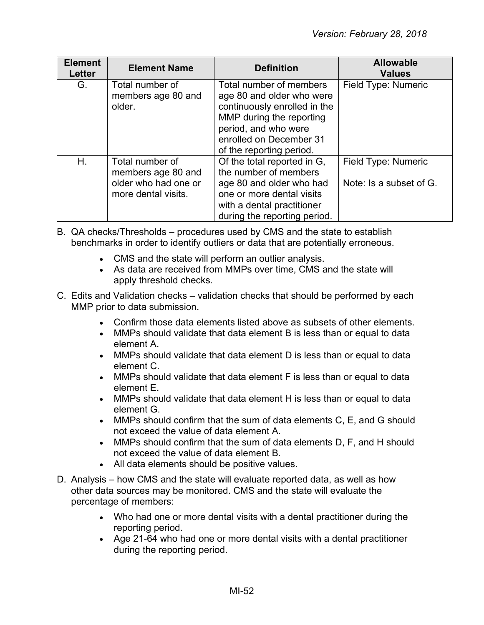| <b>Element</b><br><b>Letter</b> | <b>Element Name</b>                                                                  | <b>Definition</b>                                                                                                                                                                               | <b>Allowable</b><br><b>Values</b>              |
|---------------------------------|--------------------------------------------------------------------------------------|-------------------------------------------------------------------------------------------------------------------------------------------------------------------------------------------------|------------------------------------------------|
| G.                              | Total number of<br>members age 80 and<br>older.                                      | Total number of members<br>age 80 and older who were<br>continuously enrolled in the<br>MMP during the reporting<br>period, and who were<br>enrolled on December 31<br>of the reporting period. | Field Type: Numeric                            |
| Η.                              | Total number of<br>members age 80 and<br>older who had one or<br>more dental visits. | Of the total reported in G,<br>the number of members<br>age 80 and older who had<br>one or more dental visits<br>with a dental practitioner<br>during the reporting period.                     | Field Type: Numeric<br>Note: Is a subset of G. |

- B. QA checks/Thresholds procedures used by CMS and the state to establish benchmarks in order to identify outliers or data that are potentially erroneous.
	- CMS and the state will perform an outlier analysis.
	- As data are received from MMPs over time, CMS and the state will apply threshold checks.
- C. Edits and Validation checks validation checks that should be performed by each MMP prior to data submission.
	- Confirm those data elements listed above as subsets of other elements.
	- MMPs should validate that data element B is less than or equal to data element A.
	- MMPs should validate that data element D is less than or equal to data element C.
	- MMPs should validate that data element F is less than or equal to data element E.
	- MMPs should validate that data element H is less than or equal to data element G.
	- MMPs should confirm that the sum of data elements C, E, and G should not exceed the value of data element A.
	- MMPs should confirm that the sum of data elements D, F, and H should not exceed the value of data element B.
	- All data elements should be positive values.
- D. Analysis how CMS and the state will evaluate reported data, as well as how other data sources may be monitored. CMS and the state will evaluate the percentage of members:
	- Who had one or more dental visits with a dental practitioner during the reporting period.
	- Age 21-64 who had one or more dental visits with a dental practitioner during the reporting period.